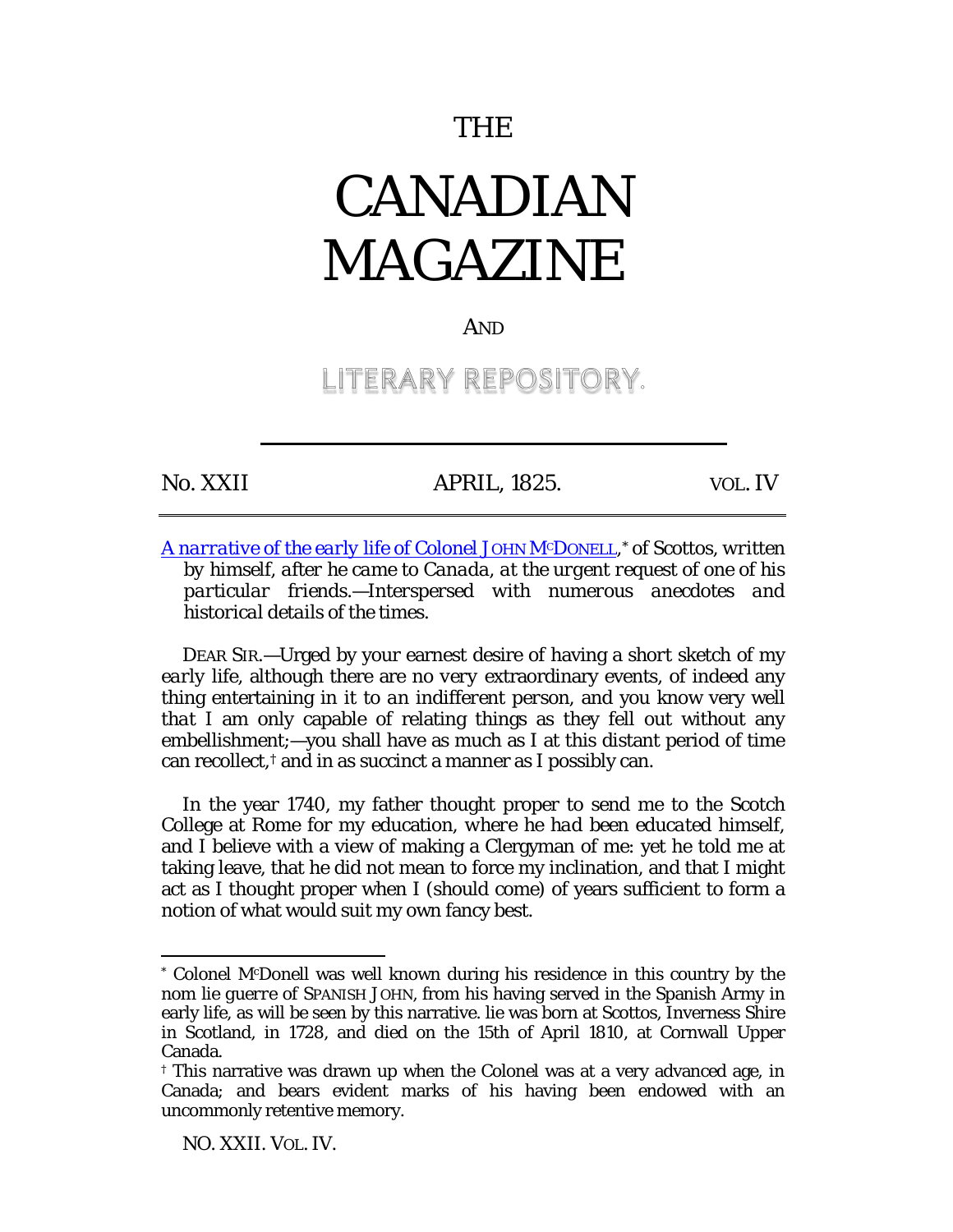## THE

# CANADIAN MAGAZINE

#### AND

LITERARY REPOSITORY.

No. XXII APRIL, 1825. VOL.IV

*[A narrative of the early life of Colonel](https://books.google.com/books?jtp=305&id=IIceAQAAMAAJ#v=onepage&q&f=false) JOHN MCDONELL,[\\*](#page-0-0) of Scottos, written by himself, after he came to Canada, at the urgent request of one of his particular friends.*—*Interspersed with numerous anecdotes and historical details of the times.* 

DEAR SIR.—Urged by your earnest desire of having a *short* sketch of my *early* life, although there are no *very* extraordinary events, of indeed any thing entertaining in it *to an indifferent person,* and you know very well *that* I am only capable of relating things as they fell out without any embellishment;—you shall have as much as I at this distant period of time can recollect, $\dagger$  and in as succinct a manner as I possibly can.

In the year 1740, my father thought proper to send me to the Scotch College at Rome for my education, *where he had been educated* himself, and I believe with a view of making a Clergyman of me: yet he told me at taking leave, that he did not mean to force my inclination, and that I might act as I thought proper when I *(should come)* of years sufficient to form a notion of what would suit my own fancy best.

<span id="page-0-0"></span><sup>\*</sup> Colonel McDonell was well known during his residence in this country by the *nom lie guerre* of SPANISH JOHN, from his having served in the Spanish Army in early life, as will be seen by this narrative. lie was born at Scottos, Inverness Shire in Scotland, in 1728, and died on the 15th of April 1810, at Cornwall Upper Canada.

<span id="page-0-1"></span><sup>†</sup> This narrative was drawn up when the Colonel was at a very advanced age, in Canada; and bears evident marks of his having been endowed with an uncommonly retentive memory.

NO. XXII. VOL.IV.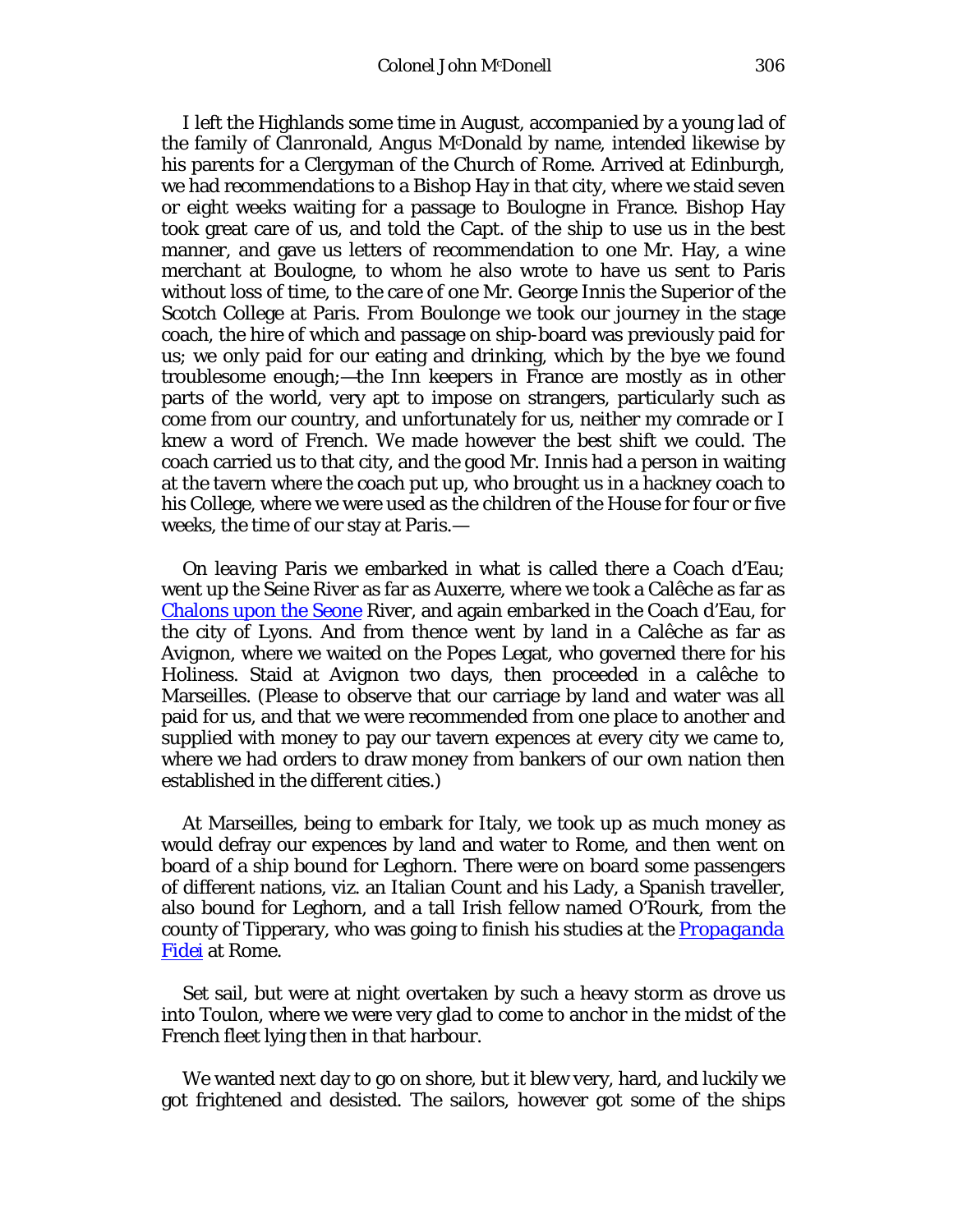I left the Highlands some time in August, accompanied by a young lad of the family of Clanronald, Angus McDonald by name, intended likewise by his parents for a Clergyman of the Church of Rome. Arrived at Edinburgh, we had recommendations to a Bishop Hay in that city, where we staid seven or eight weeks waiting for a passage to Boulogne in France. Bishop Hay took great care of us, and told the Capt. of the ship to use us in the best manner, and gave us letters of recommendation to one Mr. Hay, a wine merchant at Boulogne, to whom he also wrote to have us sent to Paris without loss of time, to the care of one Mr. George Innis the Superior of the Scotch College at Paris. *From Boulonge we* took our journey in the stage coach, the hire of which and passage on ship-board was previously paid *for us*; we only paid for our eating and drinking, which by the bye we found troublesome enough;—the Inn keepers in France are mostly as in other parts of the world, very apt to impose on strangers, particularly such as come from our country, and unfortunately for us, neither my comrade or I knew a word of French. We made however the best shift we could. The coach carried us to that city, and the good Mr. Innis had a person in waiting at the tavern where the coach put up, who brought us in a hackney coach to his College, where we were used as the children of the House for four or five weeks, the time of our stay at Paris.—

*On leaving* Paris we embarked in what is called *there* a Coach d'Eau; went up the Seine River as far as Auxerre, where we took a Calêche as far as [Chalons upon the Seone](https://en.wikipedia.org/wiki/Chalon-sur-Sa%C3%B4ne) River, and again embarked in the Coach d'Eau, for the city of Lyons. And from thence went by land in a Calêche as far as Avignon, where we waited on the Popes Legat, who governed there for his Holiness. Staid at Avignon two days, then proceeded in a calêche to Marseilles. (Please to observe that our carriage by land and water was all paid for *us,* and that we were recommended from one place to another and supplied with money to pay our tavern expences at every city we came to, where we had orders to draw money from bankers of our own nation then established in the different cities.)

At Marseilles, being to embark for Italy, we took *up* as much money as would defray our expences by land and water to Rome, and then went on board of a ship bound for Leghorn. There were on board some passengers of different nations, viz. an Italian Count and his Lady, a Spanish traveller, also bound for Leghorn, and a tall Irish fellow named O'Rourk, from the county of Tipperary, who was going to finish his studies at the *[Propaganda](http://www.fides.org/en)  [Fidei](http://www.fides.org/en)* at Rome.

Set sail, but were at night overtaken by such a heavy storm as drove us into Toulon, where we were very glad to come to anchor in the midst of the French fleet lying then in that harbour.

We wanted next day to go on shore, but it blew very, hard, and luckily we got frightened and desisted. The sailors, however got some of the ships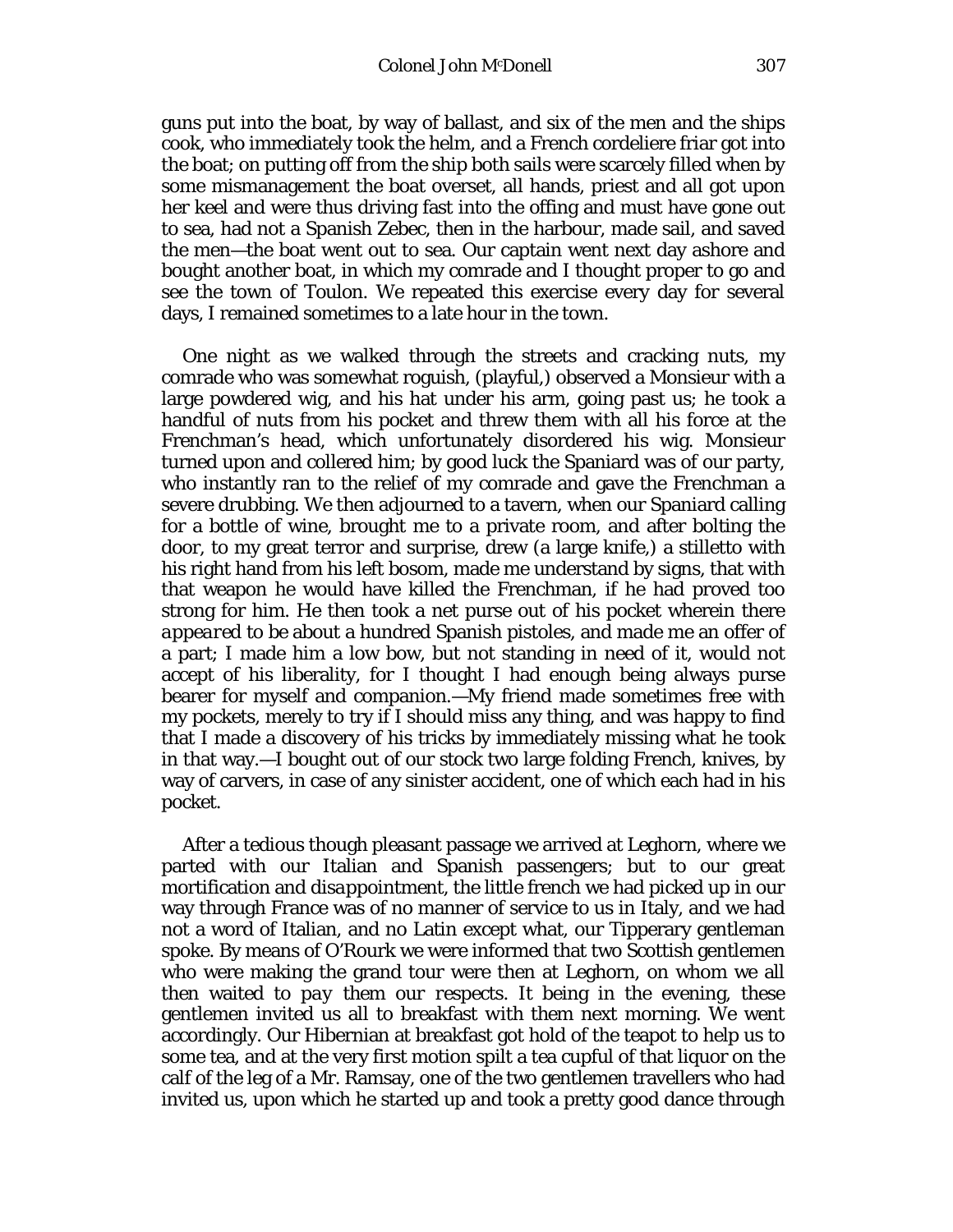guns put into the boat, by way of ballast, and six of the men and the ships cook, who immediately took the helm, and a French cordeliere friar got into the boat; on putting off from the ship both sails were scarcely filled when by some mismanagement the boat overset, all hands, priest and all got upon her keel and were thus driving fast into the offing and must have gone out to sea, had not a Spanish Zebec, then in the harbour, made sail, and saved the men—the boat went out to sea. Our captain went next day ashore and bought another boat, in which my comrade and I thought proper to go and see the town of Toulon. We repeated this exercise every day for several days, I remained sometimes to a late hour in the town.

One night as we walked through the streets and cracking nuts, my comrade who was somewhat roguish, (playful,) observed a Monsieur with a large powdered wig, and his hat under his arm, going past us; he took a handful of nuts from his pocket and threw them with all his force at the Frenchman's head, which unfortunately disordered his wig. Monsieur turned upon and collered him; by good luck the Spaniard was of our party, who instantly ran to the relief of my comrade and gave the Frenchman a severe drubbing. We then adjourned to a tavern, when our Spaniard calling for a bottle of wine, brought me to a private room, and after bolting the door, to my great terror and surprise, drew (a large knife,) a stilletto with his right hand from his left bosom, made me understand by signs, that with that weapon he would have killed the Frenchman, if he had proved too strong for him. He then took a net purse out of his pocket wherein there *appeared to be* about a hundred Spanish pistoles, and made me an offer of a part; I made him a low bow, but not standing in need of it, would not accept of his liberality, for I thought I had enough being always purse bearer for myself and companion.—My friend made sometimes free with my pockets, merely to try if I should miss any thing, and was happy to find that I made a discovery of his tricks by immediately missing what he took in that way.—I bought out of our stock two large folding French, knives, by way of carvers, in case of any sinister accident, one of which each had in his pocket.

After a tedious though pleasant passage we arrived at Leghorn, where we parted with our Italian and Spanish passengers; but to our great mortification and *disappointment,* the little french we had picked up in our way through France was of no manner of service to us in Italy, and we had not a word of Italian, and no Latin except what, our Tipperary gentleman spoke. By means of O'Rourk we were informed that two Scottish gentlemen who were making the grand tour were then at Leghorn, on whom we all then waited *to pay them our respects.* It being in the evening, these gentlemen invited us all to breakfast *with them* next morning. We went accordingly. Our Hibernian at breakfast got hold of the teapot to help us to some tea, and at the very first motion spilt a tea cupful of that liquor on the calf of the leg of a Mr. Ramsay, one of the two gentlemen travellers who had invited us, upon which he started up and took a pretty good dance through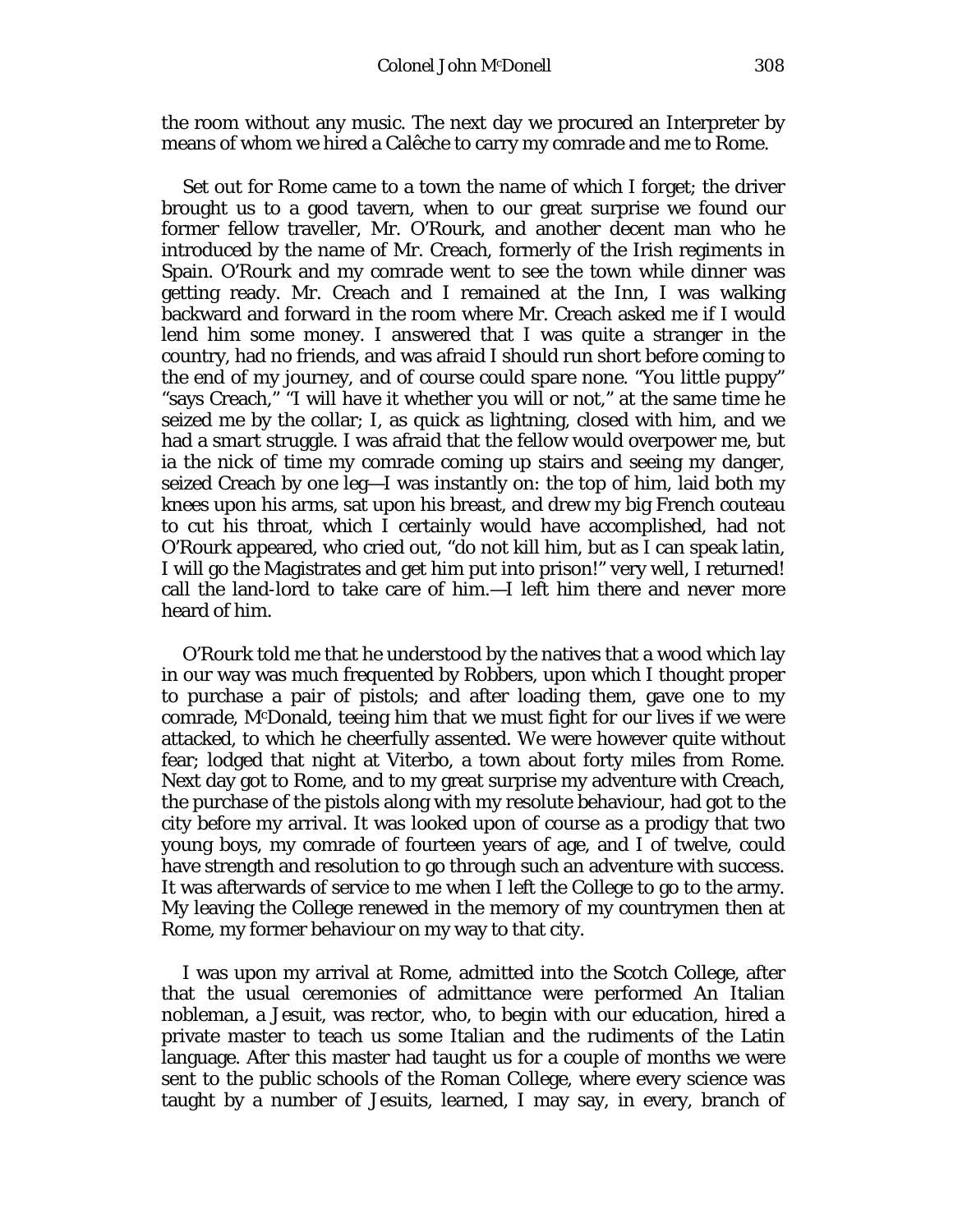the room without any music. The next day we procured an Interpreter by means of whom we hired a Calêche to carry my comrade and me to Rome.

Set out for Rome came to a town the name of which I forget; the driver brought us to a good tavern, when to our great surprise we found our former fellow traveller, Mr. O'Rourk, and another decent man who he introduced by the name of Mr. Creach, formerly of the Irish regiments in Spain. O'Rourk and my comrade went to see the town while dinner was getting ready. Mr. Creach and I remained at the Inn, I was walking backward and forward in the room where Mr. Creach asked me if I would lend him some money. I answered that I was quite a stranger in the country, had no friends, and was afraid I should run short before coming to the end of my journey, and of course could spare none. "You little puppy" "says Creach," "I will have it whether you will or not," at the same time he seized me by the collar; I, as quick as lightning, closed with him, and we had a smart struggle. I was afraid that the fellow would overpower me, but ia the nick of time my comrade coming up stairs and seeing my danger, seized Creach by one leg—I was instantly on: the top of him, laid both my knees upon his arms, sat upon his breast, and drew my big French couteau to cut his throat, which I certainly would have accomplished, had not O'Rourk appeared, who cried out, "do not kill him, but as I can speak latin, I will go the Magistrates and get him put into prison!" very well, I returned! call the land-lord to take care of him.—I left him there and never more heard of him.

O'Rourk told me that he understood by the natives that a wood which lay in our way was much frequented by Robbers, upon which I thought proper to purchase a pair of pistols; and after loading them, gave one to my comrade, McDonald, teeing him that we must fight for our lives if we were attacked, to which he cheerfully assented. We were however quite without fear; lodged that night at Viterbo, a town about forty miles from Rome. Next day got to Rome, and to my great surprise my adventure with Creach, the purchase of the pistols along with my resolute behaviour, had got to the city before my arrival. It was looked upon of course as a prodigy that two young boys, my comrade of fourteen years of age, and I of twelve, could have strength and resolution to go through such an adventure with success. It was afterwards of service to me when I left the College to go to the army. My leaving the College renewed in the memory of my countrymen then at Rome, my former behaviour on my way to that city.

I was upon my arrival at Rome, admitted into the Scotch College, after that the usual ceremonies of admittance were performed An Italian nobleman, a Jesuit, was rector, who, to begin with our education, hired a private master to teach us some Italian and the rudiments of the Latin language. After this master had taught us for a couple of months we were sent to the public schools of the Roman College, where every science was taught by a number of Jesuits, learned, I may say, in every, branch of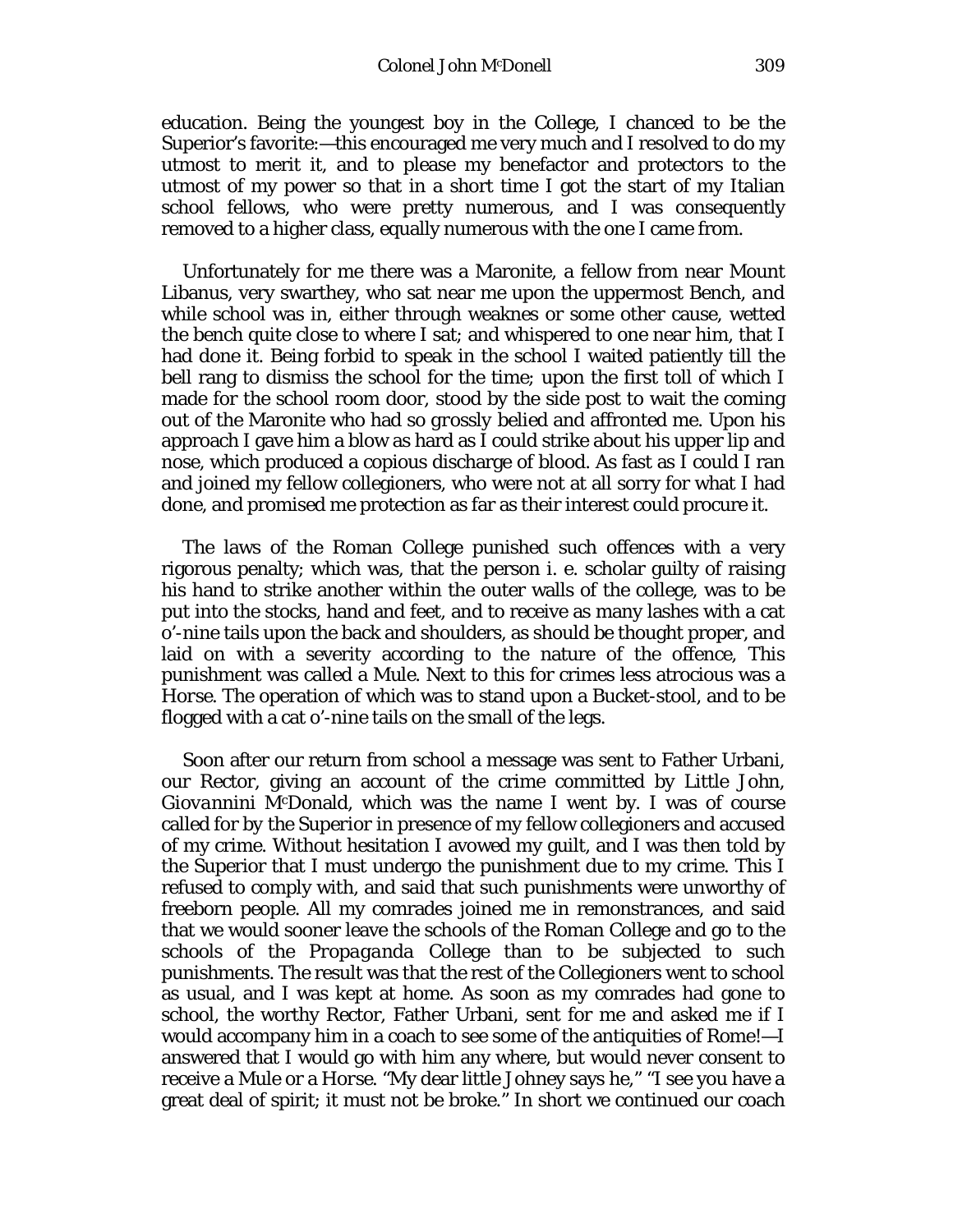education. Being the youngest boy in the College, I chanced to be the Superior's favorite:—this encouraged me very much and I resolved to do my utmost to merit it, and to please my benefactor and protectors to the utmost of my power so that in a short time I got the start of my Italian school fellows, who were pretty numerous, and I was consequently removed to a higher class, equally numerous with the one I came from.

Unfortunately for me there was a Maronite, a fellow from near Mount Libanus, very swarthey, who sat near me upon the uppermost Bench, *and*  while school was in, either through weaknes or some other cause, wetted the bench quite close to where I sat; and whispered to one near him, that I had *done it.* Being forbid to speak in the school I waited patiently till the bell rang to dismiss the school for the time; upon the first toll of which I made for the school room door, stood by the side post to wait the coming out of the Maronite who had *so grossly* belied and affronted me. Upon his approach I gave him a blow as hard as I could strike about his upper lip and nose, which produced a copious discharge of blood. As fast as I could I ran and joined my fellow collegioners, who were not at all sorry for what I had done, and promised me protection as far as their interest could procure it.

The laws of the Roman College punished such *offences* with a very rigorous penalty; which was, that the person i. e. scholar guilty of raising his hand to strike another within the outer walls of the college, was to be put into the stocks, hand and feet, and to receive as many lashes with a cat o'-nine tails upon the back and shoulders, as should be thought proper, and laid on with a severity according to the nature of the offence, This punishment was called a *Mule.* Next to this for crimes less atrocious was a *Horse.* The operation of which was to stand upon a Bucket-stool, and to be flogged with a cat o'-nine tails on the small of the legs.

Soon after our return from school a message was sent to Father Urbani, our Rector, giving an account of the crime committed by *Little John, Giovannini* McDonald, which was the name I went by. I was of course called for *by the Superior* in presence of my fellow collegioners and accused of my crime. Without hesitation I avowed my guilt, and I was then told by the Superior that I must undergo the punishment due to my crime. This I refused to comply with, and said that such punishments were unworthy of freeborn people. All my comrades joined me in remonstrances, and said that we would sooner leave the schools of the Roman College and go to the schools of the *Propaganda* College than to be subjected to such punishments. The result was that the rest of the Collegioners went to school as usual, and I was kept at home. As soon as my comrades had gone to school, the worthy Rector, Father Urbani, sent for me and asked me if I would accompany him in a coach to see some of the antiquities of Rome!—I answered that I would go with him any where, but would never consent to receive a *Mule* or a *Horse. "*My dear little Johney says he," "I see you have a great deal of spirit; it must not be broke." In short we continued our coach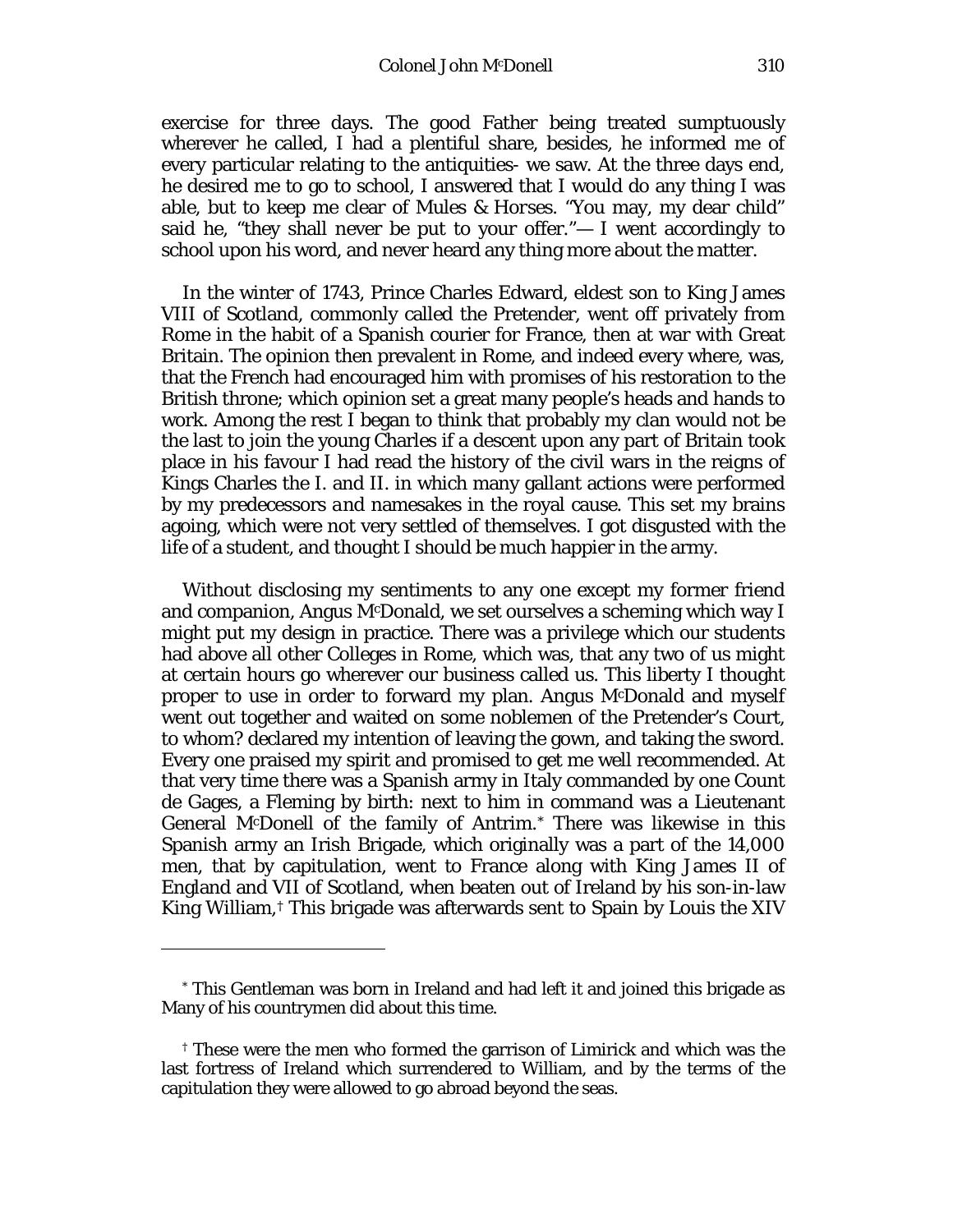exercise for three days. The good Father being treated sumptuously wherever he called, I had a plentiful share, besides, he informed me of every particular relating to the antiquities- we saw. At the three days end, he desired me to go to school, I answered that I would do any thing I was able, but to keep me clear of *Mules & Horses.* "You may, my dear child" said he, "they shall never be put to your offer." $-1$  went accordingly to school upon his word, and never heard any thing more about the matter.

In the winter of 1743, Prince Charles Edward, eldest son to King James VIII of Scotland, commonly called the Pretender, went off privately from Rome in the habit of a Spanish courier for France, then at war with Great Britain. The opinion then prevalent in Rome, and indeed every where, was, that the French had encouraged him with promises of his restoration to the British throne; which opinion set a great many people's heads and hands to work. Among the rest I began to think that probably my clan would not be the last to join the young Charles if a descent upon any part of Britain took place in his favour I had read the history of the civil wars in the reigns of Kings Charles the I. and II. in which many gallant actions were performed by my predecessors *and* namesakes in the royal cause. This set my brains agoing, which were not very settled of themselves. I got disgusted with the life of a student, and thought I should be much happier in the army.

Without disclosing my sentiments to any *one* except my former friend and companion, Angus McDonald, we set ourselves a scheming which way I might put my design in practice. There was a privilege which our students had above all other Colleges in Rome, which was, that any two of us might at certain hours go wherever our business called us. This liberty I thought proper to use in order to forward my plan. Angus McDonald and myself went out together and waited on some noblemen of the Pretender's Court, to whom? declared my intention of leaving the gown, and taking the sword. Every one praised my spirit and promised to get me well recommended. At that very time there was a Spanish army in Italy commanded by one Count de Gages, a Fleming by birth: next to him in command was a Lieutenant General McDonell of the family of Antrim.[\\*](#page-5-0) There was likewise in this Spanish army an Irish Brigade, which originally was a part of the 14,000 men, that by capitulation, went to France along with King James II of England and VII of Scotland, when beaten out of Ireland by his son-in-law King William, $<sup>†</sup>$  $<sup>†</sup>$  $<sup>†</sup>$  This brigade was afterwards sent to Spain by Louis the XIV</sup>

<span id="page-5-0"></span><sup>\*</sup> This Gentleman was born in Ireland and had left it and joined this brigade as Many of his countrymen did about this time.

<span id="page-5-1"></span><sup>†</sup> These were the men who formed the garrison of Limirick and which was the last fortress of Ireland which surrendered to William, and by the terms of the capitulation they were allowed to go abroad beyond the seas.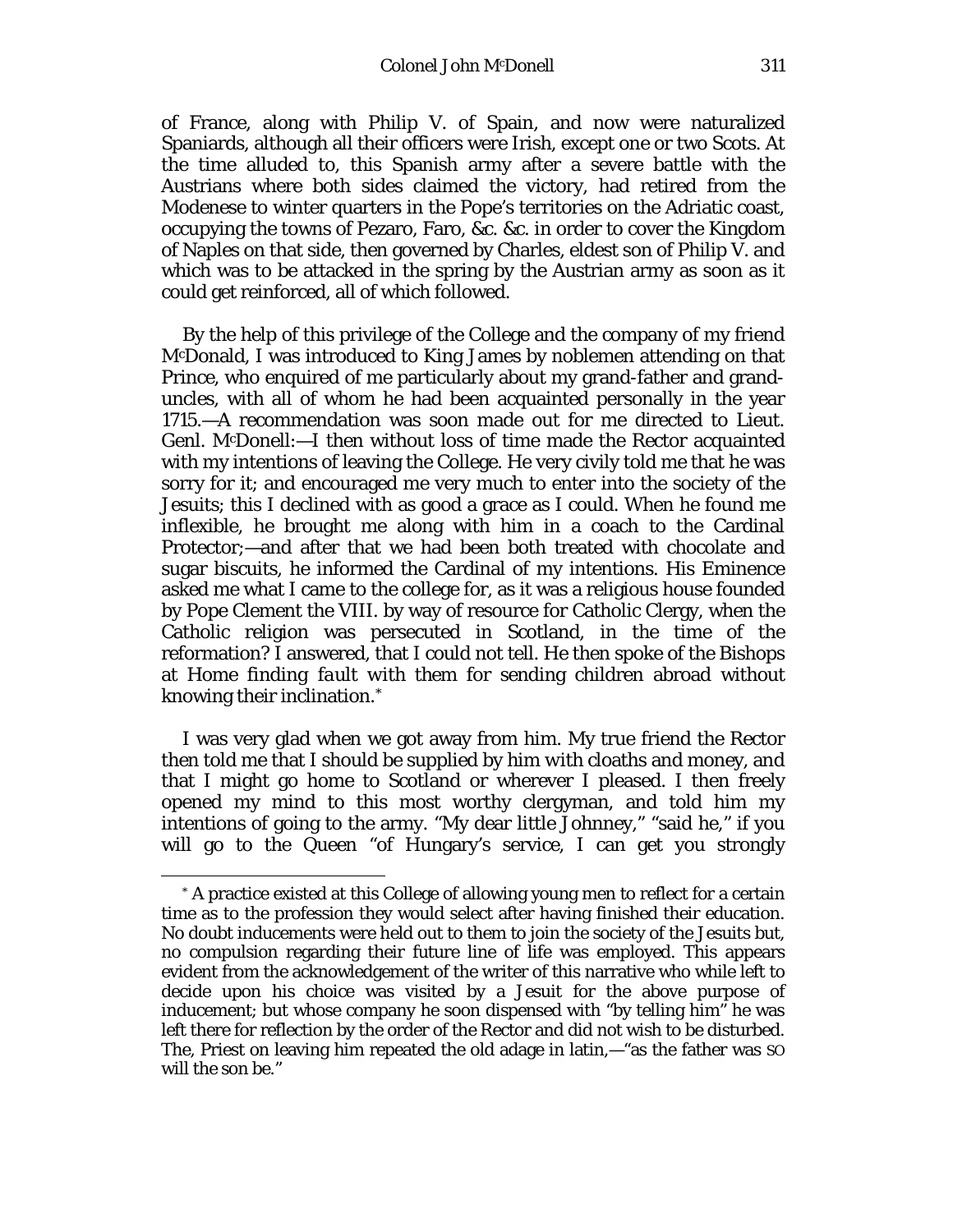of France, along with Philip V. of Spain, and now were naturalized Spaniards, although all their officers were Irish, except one or two Scots. At the time alluded to, this Spanish army after a severe battle with the Austrians where both sides claimed the victory, had retired from the Modenese to winter quarters in the Pope's territories on the Adriatic coast, occupying the towns of Pezaro, Faro, &c. &c. in order to cover the Kingdom of Naples on that side, then governed by Charles, eldest son of Philip V. and which was to be attacked in the spring by the Austrian army as soon as it could get reinforced, all of which followed.

By the help of this privilege of the College and the company of my friend McDonald, I was introduced to King James by noblemen attending on that Prince, who enquired of me particularly about my grand-father and granduncles, with all of whom he had been acquainted personally in the year 1715.—A recommendation was soon made out for me directed to Lieut. Genl. McDonell:—I then without loss of time made the Rector acquainted with my intentions of leaving the College. He very civily told me that he was sorry for it; and encouraged me very much to enter into the society of the Jesuits; this I declined with as good a grace as I could. When he found me inflexible, he brought me along with him in a coach to the Cardinal Protector;—and after that we had been both treated with chocolate and sugar biscuits, he informed the Cardinal of my intentions. His Eminence asked me what I came to the college for, as it was a religious house founded by Pope Clement the VIII. by way of resource for Catholic Clergy, when the Catholic religion was persecuted in Scotland, in the time of the reformation? I answered, that I could not tell. He then spoke of the Bishops at Home *finding fault with them* for sending children abroad without knowing their inclination.[\\*](#page-6-0)

I was very glad when we got away from him. My true friend the Rector then told me that I should be supplied by him *with* cloaths and money, and that I might go home to Scotland or wherever I pleased. I then freely opened my mind to this most worthy clergyman, and told him my intentions of going to the army. "My dear little Johnney," "said he," if you will go to the Queen "of Hungary's service, I can get you strongly

 $\overline{\phantom{a}}$ 

<span id="page-6-0"></span><sup>\*</sup> A practice existed at this College of allowing young men to reflect for a certain time as to the profession they would select after having finished their education. No doubt inducements were held out to them to join the society of the Jesuits but, no compulsion regarding their future line of life was employed. This appears evident from the acknowledgement of the writer of this narrative who while left to decide upon his choice was visited by a Jesuit for the above purpose of inducement; but whose company he soon dispensed with "by telling him" he was left there for reflection by the order of the Rector and did not wish to be disturbed. The, Priest on leaving him repeated the old adage in latin,—"as the father was SO will the son be."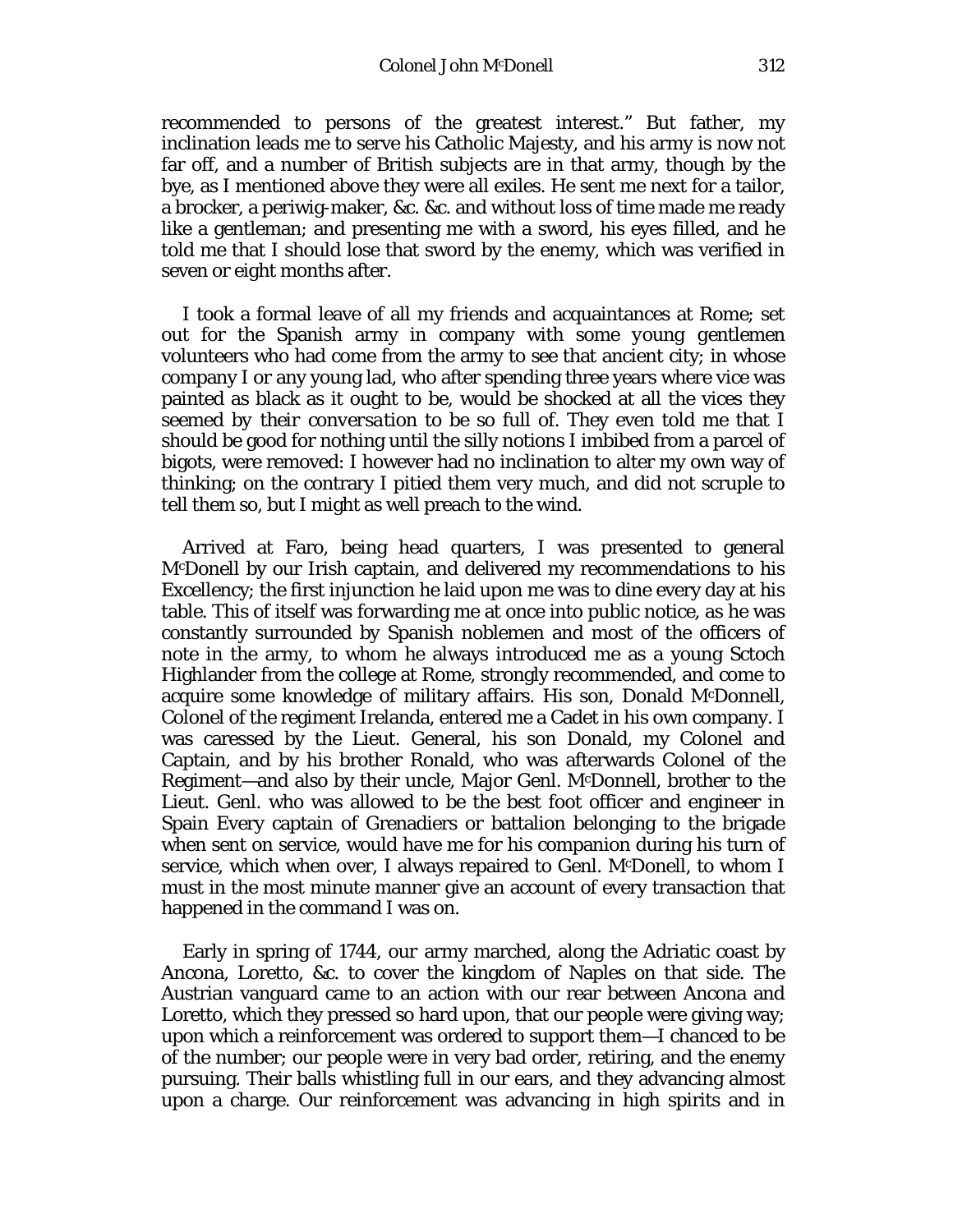recommended to persons of the greatest interest." But father, my inclination leads me to serve his Catholic Majesty, and his army is now not far off, and a number of British subjects are in that army, though by the bye, as I mentioned above they were all exiles. He sent me next for a tailor, a brocker, a periwig-maker, &c. &c. and without loss of time made me ready like a gentleman; and presenting me with a sword, his eyes filled, and he told me that I should lose that sword by the enemy, which was verified in seven or eight months after.

I took a formal leave of all my friends and acquaintances at Rome; set out for the Spanish army in company with some *young gentlemen*  volunteers who had come from the army to see that ancient city; in whose company I or any young lad, who after spending three years where vice was painted as black as it ought to be, would be shocked at all the vices they seemed *by their conversation* to be so full of. They even told me that I should be good for nothing until the silly notions I imbibed from a parcel of bigots, were removed: I however had no inclination to alter my own way of thinking; on the contrary I pitied them very much, and did not scruple to tell them so, but I might as well preach to the wind.

Arrived at Faro, being head quarters, I was presented to general McDonell by our Irish captain, and delivered my recommendations to his Excellency; the first injunction he laid upon me was to dine every day at his table. This of itself was forwarding me at once into public notice, as he was constantly surrounded by Spanish noblemen and most of the officers of note in the army, to whom he always introduced me as a young Sctoch Highlander from the college at Rome, strongly recommended, and come to acquire some knowledge of military affairs. His son, Donald McDonnell, Colonel of the regiment Irelanda, entered me a Cadet in his own company. I was caressed by the Lieut. General, his son Donald, my Colonel and Captain, and by his brother Ronald, who was afterwards Colonel of the Regiment—and also by their uncle, Major Genl. McDonnell, brother to the Lieut. Genl. who was allowed to be the best foot officer and engineer in Spain Every captain of Grenadiers or battalion belonging to the brigade when sent on service, would have me for his companion during his turn of service, which when over, I always repaired to Genl. McDonell, to whom I must in the most minute manner give an account of every transaction that happened in the command I was on.

Early in spring of 1744, *our* army marched, along the Adriatic coast by Ancona, Loretto, &c. to cover the kingdom of Naples on that side. The Austrian vanguard came to an action with our rear between Ancona and Loretto, which they pressed so hard upon, that our people were giving way; upon which a reinforcement was ordered to support them—I chanced to be of the number; our people were in very bad order, retiring, and the enemy pursuing. Their balls whistling full in our ears, and they advancing almost upon a charge. Our reinforcement was advancing in high spirits and in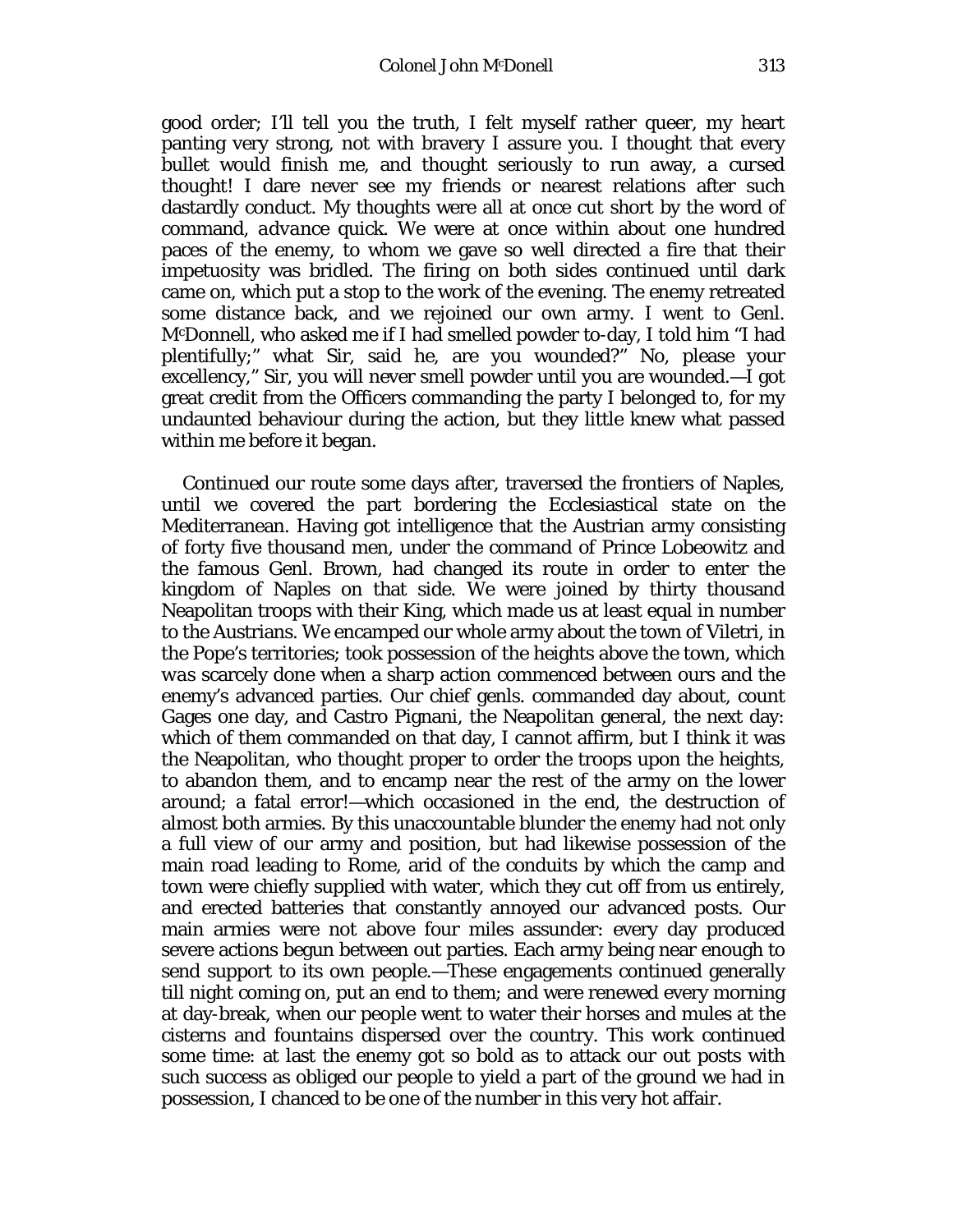good order; I'll tell you the truth, I felt myself rather queer, my heart panting very strong, not with bravery I assure you. I thought that every bullet would finish me, and thought seriously to run away, *a cursed thought*! I dare never see my friends or nearest relations after such dastardly conduct. My thoughts were all at once cut short by the word of command, *advance quick.* We were at once within about one hundred paces of the enemy, to whom we gave so well directed a fire that their impetuosity was bridled. The firing on both sides continued until dark came on, which put a stop to the work of the evening. The enemy retreated some distance back, and we rejoined our own army. I went to Genl. McDonnell, who asked me if I had smelled powder to-day, I told him "I had plentifully;" what Sir, said he, are you wounded?" No, please your excellency," Sir, you will never smell powder until you are wounded.—I got great credit from the Officers commanding the party I belonged to, for my undaunted behaviour during the action, but they little knew what passed within me before it began.

Continued our route some days after, traversed the frontiers of Naples, until we covered the part bordering the Ecclesiastical state on the Mediterranean. Having got intelligence that the Austrian army consisting of forty five thousand men, under the command of Prince Lobeowitz and the famous Genl. Brown, had changed its route in order to enter the kingdom of Naples on that side. We were joined by thirty thousand Neapolitan troops with their King, which made us at least equal in number to the Austrians. We encamped our whole army about the town of Viletri, in the Pope's territories; took possession of the heights above the town, which *was* scarcely done when a sharp action commenced between ours and the enemy's advanced parties. Our chief genls. commanded day about, count Gages one day, and Castro Pignani, the Neapolitan general, the next day: which of them commanded on that day, I cannot affirm, but I think it was the Neapolitan, who thought proper to order the troops upon the heights, to abandon them, and to encamp near the rest of the army on the lower around; a fatal error!—which occasioned in the end, the destruction of almost both armies. By this unaccountable blunder the enemy had not only a full view of our army and position, but had likewise possession of the main road leading to Rome, arid of the conduits by which the camp and town were chiefly supplied with water, which they cut off from us entirely, and erected batteries that constantly annoyed our advanced posts. Our main armies were not above four miles assunder: every day produced severe actions begun between out parties. Each army being near enough to send support to its own people.—These engagements continued generally till night coming on, put an end to them; and were renewed every morning at day-break, when our people went to water their horses and mules at the cisterns and fountains dispersed over the country. This work continued some time: at last the enemy got so bold as to attack our out posts with such success as obliged our people to yield a part of the ground we had in possession, I chanced to be one of the number in this very hot affair.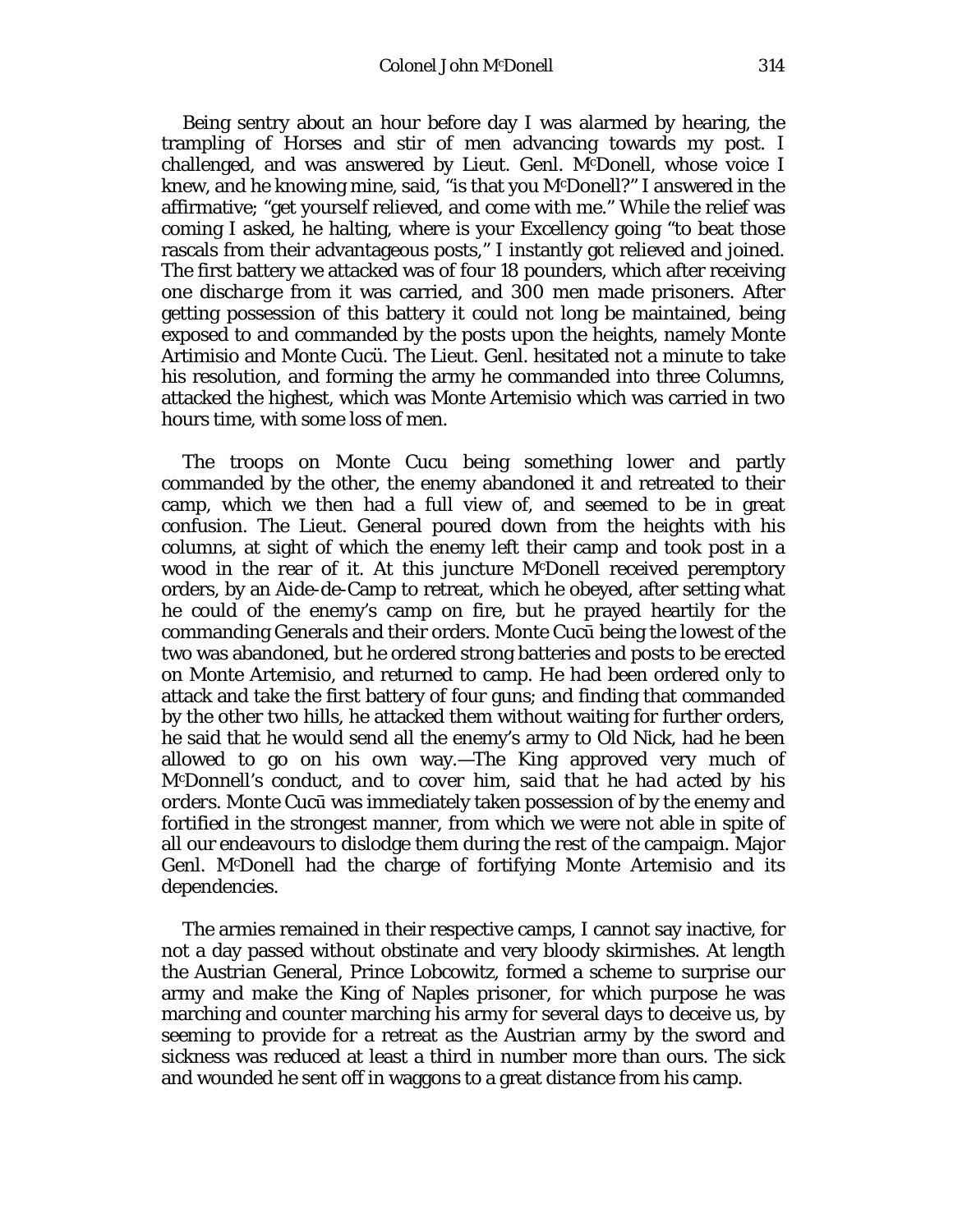Being sentry about an hour before day I was alarmed by hearing, the trampling of Horses and stir of men advancing towards my post. I challenged, and was answered by Lieut. Genl.  $M^c$ Donell, whose voice I knew, and he knowing mine, said, "is that you McDonell?" I answered in the affirmative; "get yourself relieved, and come with me." While the relief was coming I asked, he halting, where is your Excellency going "to beat those rascals from their advantageous posts," I instantly got relieved and joined. The first battery we attacked was of four 18 pounders, which after receiving one *discharge* from it was carried, and 300 men made prisoners. After getting possession of this battery it could not long be maintained, being exposed to and commanded by the posts upon the heights, namely Monte Artimisio and Monte Cucü. The Lieut. Genl. hesitated not a minute to take his resolution, and forming the army he commanded into three Columns, attacked the highest, which was Monte Artemisio which was carried in two hours time, with some loss of men.

The troops on Monte Cucu being something lower and partly commanded by the other, the enemy abandoned it and retreated to their camp, which we then had a full view of, and seemed to be in great confusion. The Lieut. General poured down from the heights with his columns, at sight of which the enemy left their camp and took post in a wood in the rear of it. At this juncture McDonell received peremptory orders, by an Aide-de-Camp to retreat, which he obeyed, after setting what he could of the enemy's camp on fire, but he prayed heartily for the commanding Generals and their orders. Monte Cucū being the lowest of the two was abandoned, but he ordered strong batteries and posts to be erected on Monte Artemisio, and returned to camp. He had been ordered only to attack and take the first battery of four guns; and finding that commanded by the other two hills, he attacked them without waiting for further orders, he said that he would send all the enemy's army to *Old Nick,* had he been allowed to go on his own way.—The King approved very much of McDonnell's conduct, *and to cover him, said that he had acted by his orders.* Monte Cucū was immediately taken possession of by the enemy and fortified in the strongest manner, from which we were not able in spite of all our endeavours to dislodge them during the rest of the campaign. Major Genl. McDonell had the charge of fortifying Monte Artemisio and its dependencies.

The armies remained in their respective camps, I cannot say inactive, for not a day passed without obstinate and very bloody skirmishes. At length the Austrian General, Prince Lobcowitz, formed a scheme to surprise our army and make the King of Naples prisoner, for which purpose he was marching and counter marching his army for several days to deceive us, by seeming to provide for a retreat as the Austrian army by the sword and sickness was reduced at least a third in number more than ours. The sick and wounded he sent off in waggons to a great distance from his camp.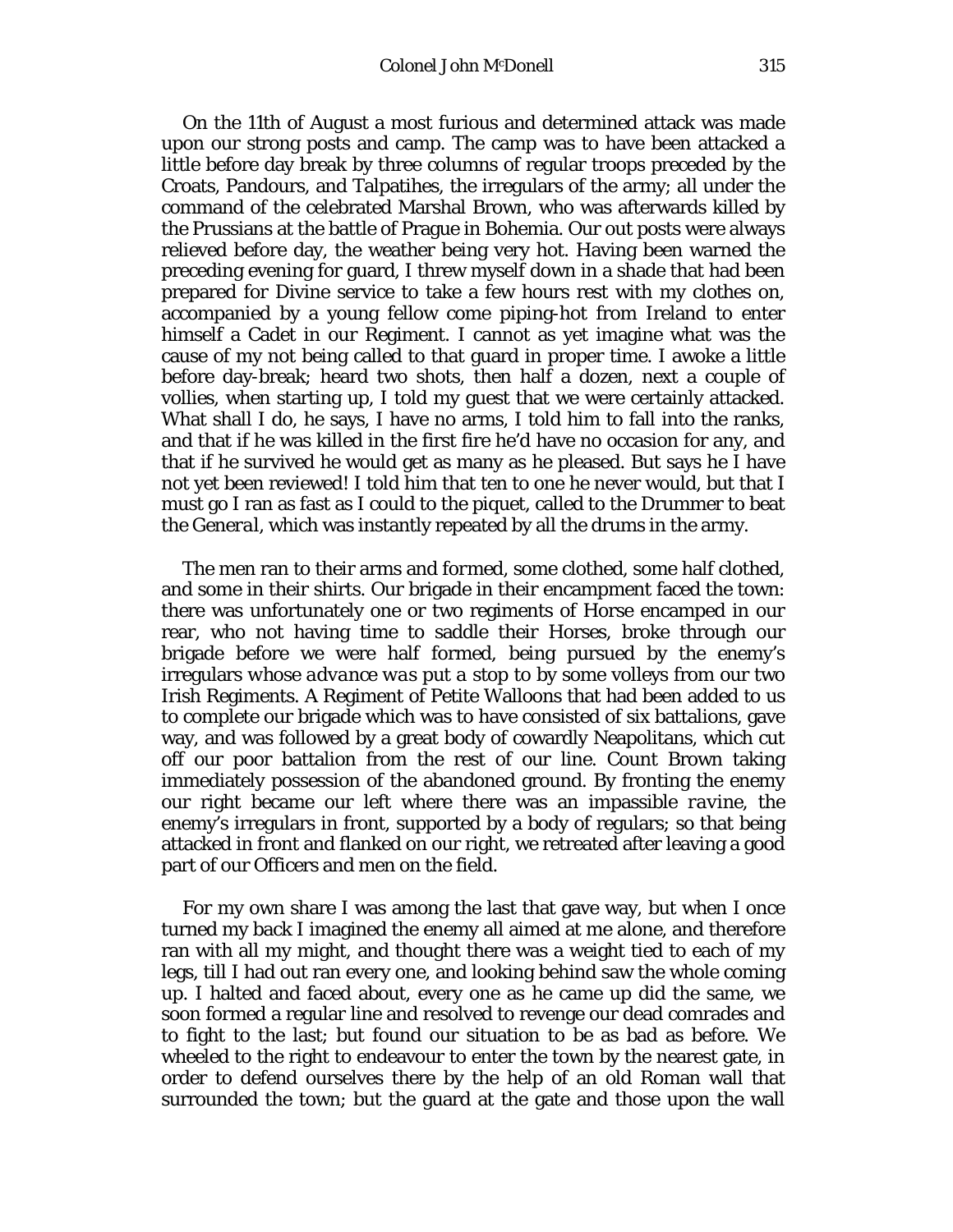On the 11th of August a most furious and determined attack was made upon our strong posts and camp. The camp was to have been attacked a little before day break by three columns of regular troops preceded by the Croats, Pandours, and Talpatihes, the irregulars of the army; all under the command of the celebrated Marshal Brown, who was afterwards killed by the Prussians at the battle of Prague in Bohemia. Our out posts were always relieved before day, the weather being very hot. Having been warned the preceding evening for guard, I threw myself down in a shade that had been prepared for Divine service to take a few hours rest with my clothes on, accompanied by a young fellow come piping-hot from Ireland to enter himself a Cadet in our Regiment. I cannot as yet imagine what was the cause of my not being called to that guard in proper time. I awoke a little before day-break; heard two shots, then half a dozen, next a couple of vollies, when starting up, I told my guest that we were certainly attacked. What shall I do, he says, I have no arms, I told him to fall into the ranks, and that if he was killed in the first fire he'd have no occasion for any, and that if he survived he would get as many as he pleased. But says he I have not yet been reviewed! I told him that ten to one he never would, but that I must go I ran as fast as I could to the piquet, called to the Drummer to beat the *General,* which was instantly repeated by all the drums in the army.

The men ran to their arms and *formed,* some clothed, some half clothed, and some in their shirts. Our brigade in their encampment faced the town: there was unfortunately one or two regiments of Horse encamped in our rear, who not having time to saddle their Horses, broke through our brigade before we were half formed, being pursued by the enemy's irregulars *whose advance was put a stop to* by some volleys from our two Irish Regiments. A Regiment of Petite Walloons that had been added to us to complete our brigade which was to have consisted of six battalions, gave way, and was followed by a great body of cowardly Neapolitans, which cut off our poor battalion from the rest of our line. Count Brown taking immediately possession of the abandoned ground. By fronting the enemy our right became our left where there was an impassible *ravine,* the enemy's irregulars in front, supported by a body of regulars; so that being attacked in front and flanked on our right, we retreated after leaving a good part of our Officers and men on the field.

For my own share I was among the last that gave way, but when I once turned my back I imagined the enemy all aimed at me alone, and therefore ran with all my might, and thought there was a weight tied to each of my legs, till I had out ran every one, and looking behind saw the whole coming up. I halted and faced about, every one as he came up did the same, we soon formed a regular line and resolved to revenge our dead comrades and to fight to the last; but found our situation to be as bad as before. We wheeled to the right to endeavour to enter the town by the nearest gate, in order to defend ourselves there by the help of an old Roman wall that surrounded the town; but the guard at the gate and those upon the wall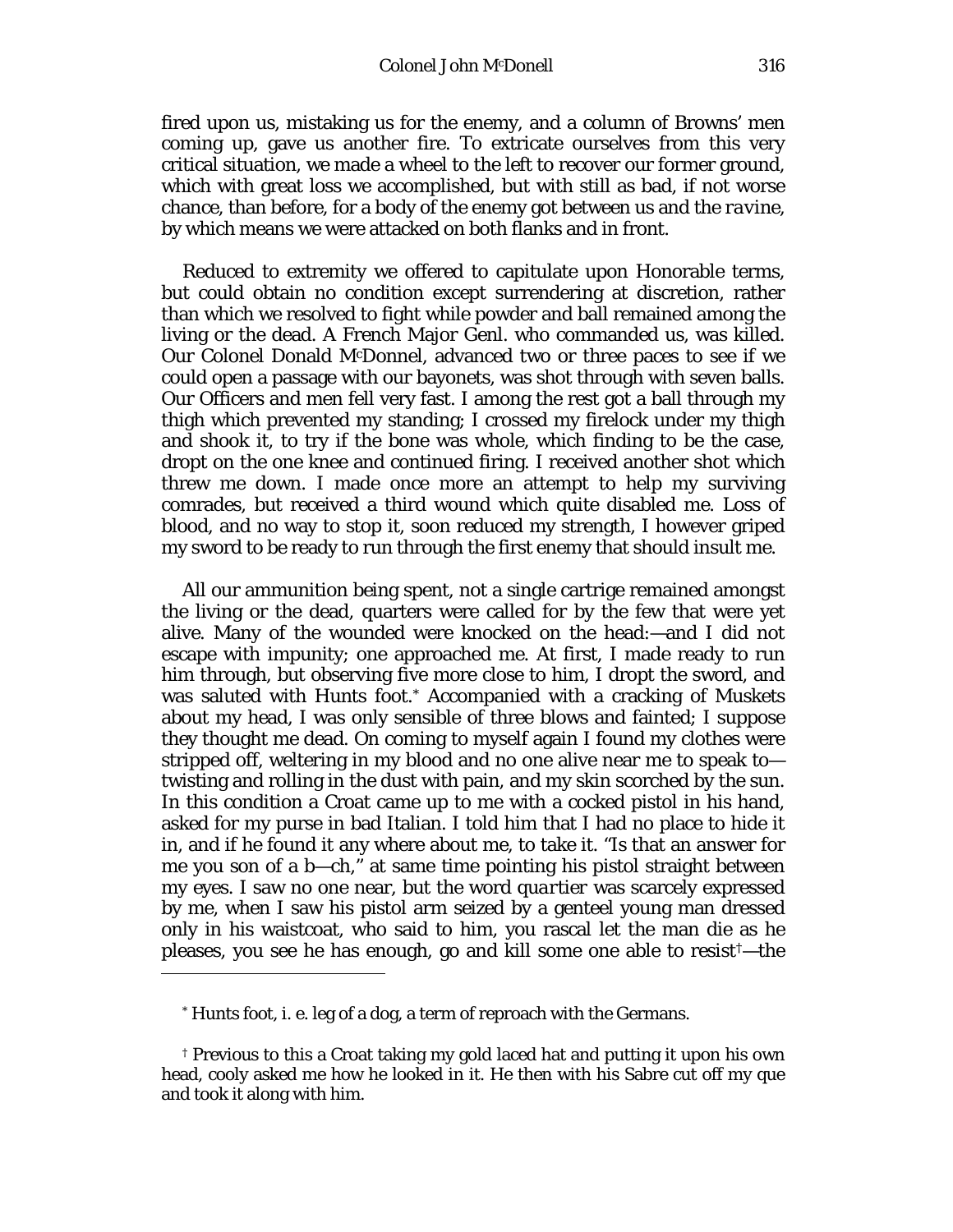fired upon us, mistaking us for the enemy, and a column of Browns' men coming up, gave us another fire. To extricate ourselves from this very critical situation, we made a wheel to the left to recover our former ground, which with great loss we accomplished, but with still as bad, if not worse chance, than before, for a body of the enemy got between us and the *ravine*, by which means we were attacked on both flanks and in front.

Reduced to extremity we offered to capitulate upon Honorable terms, but could obtain no condition except surrendering at discretion, rather than which we resolved to fight while powder and ball remained among the living or the dead. A French Major Genl. who commanded us, was killed. Our Colonel Donald McDonnel, advanced two or three paces to see if we could open a passage with our bayonets, was shot through with seven balls. Our Officers and men fell very fast. I among the rest got a ball through my thigh which prevented my standing; I crossed my firelock under my thigh and shook it, to try if the bone was whole, which finding to be the case, dropt on the one knee and continued firing. I received another shot which threw me down. I made once more an attempt to help my surviving comrades, but received a third wound which quite disabled me. Loss of blood, and no way to stop it, soon reduced my strength, I however griped my sword to be ready to run through the first enemy that should insult me.

All our ammunition being spent, not a single cartrige remained amongst the living or the dead, quarters were called for by the few that were yet alive. Many of the wounded were knocked on the head:—and I did not escape with impunity; one approached me. At first, I made ready to run him through, but observing five more close to him, I dropt the sword, and was saluted with *Hunts foot[.\\*](#page-11-0)* Accompanied with a cracking of Muskets about my head, I was only sensible of three blows and fainted; I suppose they thought me dead. On coming to myself again I found my clothes were stripped off, weltering in my blood and no one alive near me to speak to twisting and rolling in the dust with pain, and my skin scorched by the sun. In this condition a Croat came up to me with a cocked pistol in his hand, asked for my purse in bad Italian. I told him that I had no place to hide it in, and if he found it any where about me, to take it. "Is that an answer for me you son of a b—ch," at same time pointing his pistol straight between my eyes. I saw no one near, but the word *quartier* was scarcely expressed by me, when I saw his pistol arm seized by a genteel young man dressed only in his waistcoat, who said to him, you rascal let the man die as he pleases, you see he has enough, go and kill some one able to resist[†—](#page-11-1)the

<span id="page-11-0"></span> $\overline{\phantom{a}}$ 

<sup>\*</sup> Hunts foot, i. e. leg of a dog, a term of reproach with the Germans.

<span id="page-11-1"></span><sup>†</sup> Previous to this a Croat taking my gold laced hat and putting it upon his own head, cooly asked me how he looked in it. He then with his Sabre cut off my que and took it along with him.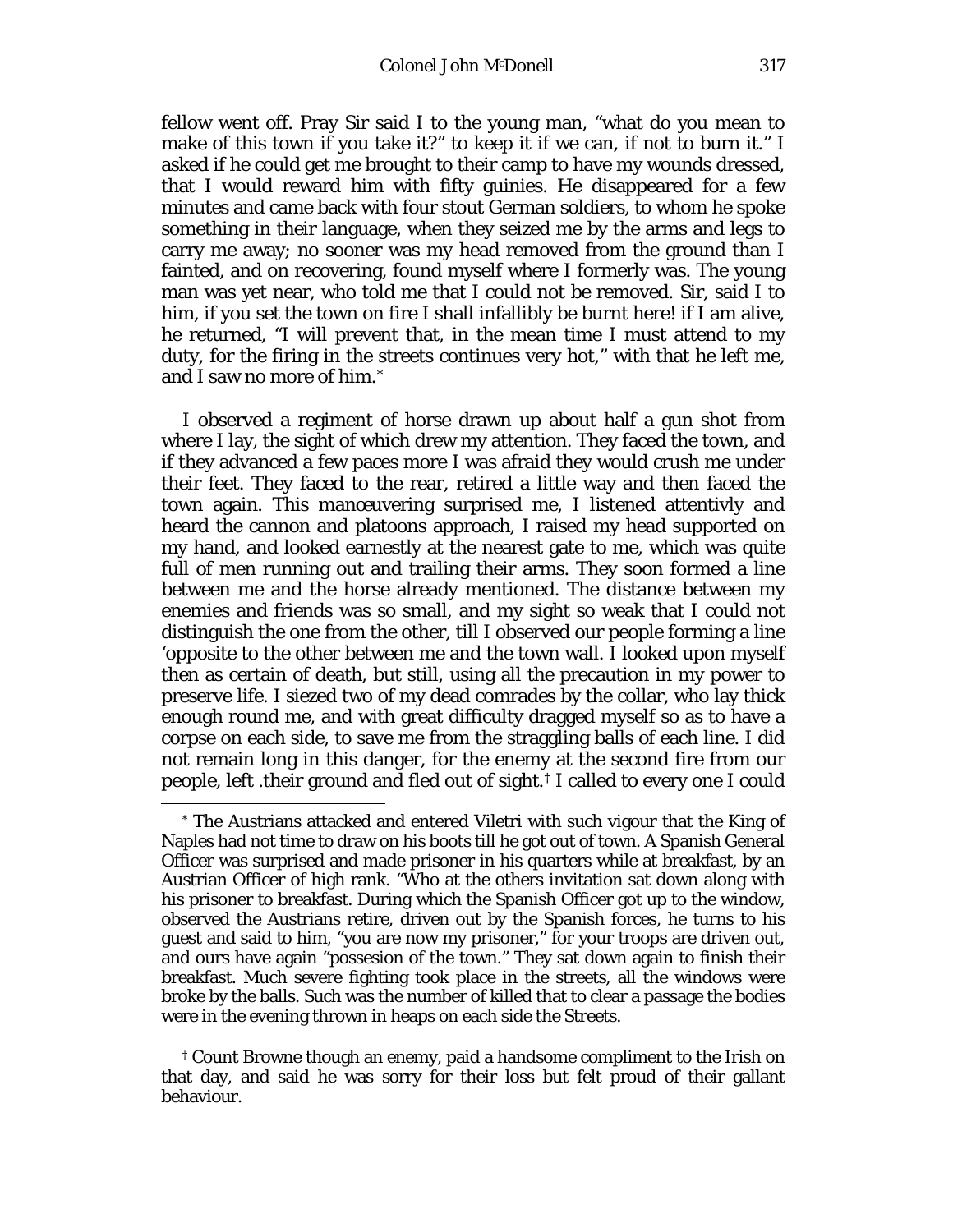fellow went off. Pray Sir said I to the young man, "what do you mean to make of this town if you take it?" to keep it if we can, if not to burn it." I asked if he could get me brought to their camp to have my wounds dressed, that I would reward him with fifty guinies. He disappeared for a few minutes and came back with four stout German soldiers, to whom he spoke something in their language, when they seized me by the arms and legs to carry me away; no sooner was my head removed from the ground than I fainted, and on recovering, found myself where I formerly was. The young man was yet near, who told me that I could not be removed. Sir, said I to him, if you set the town on fire I shall infallibly be burnt here! if I am alive, he returned, "I will prevent that, in the mean time I must attend to my duty, for the firing in the streets continues very hot," with that he left me, and I saw no more of him.[\\*](#page-12-0)

I observed a regiment of horse drawn up about half a gun shot from where I lay, the sight of which drew my attention. They faced the town, and if they advanced a few paces more I was afraid they would crush me under their feet. They faced to the rear, retired a little way and then faced the town again. This manœuvering surprised me, I listened attentivly and heard the cannon and platoons approach, I raised my head supported on my hand, and looked earnestly at the nearest gate to me, which was quite full of men running out and trailing their arms. They soon formed a line between me and the horse already mentioned. The distance between my enemies and friends was so small, and my sight so weak that I could not distinguish the one from the other, till I observed our people forming a line 'opposite to the other between me and the town wall. I looked upon myself then as certain of death, but still, using all the precaution in my power to preserve life. I siezed two of my dead comrades by the collar, who lay thick enough round me, and with great difficulty dragged myself so as to have a corpse on each side, to save me from the straggling balls of each line. I did not remain long in this danger, for the enemy at the second fire from our people, left .their ground and fled out of sight.[†](#page-12-1) I called to every one I could

 $\overline{a}$ 

<span id="page-12-1"></span>† Count Browne though an enemy, paid a handsome compliment to the Irish on that day, and said he was sorry for their loss but felt proud of their gallant behaviour.

<span id="page-12-0"></span><sup>\*</sup> The Austrians attacked and entered Viletri with such vigour that the King of Naples had not time to draw on his boots till he got out of town. A Spanish General Officer was surprised and made prisoner in his quarters while at breakfast, by an Austrian Officer of high rank. "Who at the others invitation sat down along with his prisoner to breakfast. During which the Spanish Officer got up to the window, observed the Austrians retire, driven out by the Spanish forces, he turns to his guest and said to him, "you are now my prisoner," for your troops are driven out, and ours have again "possesion of the town." They sat down again to finish their breakfast. Much severe fighting took place in the streets, all the windows were broke by the balls. Such was the number of killed that to clear a passage the bodies were in the evening thrown in heaps on each side the Streets.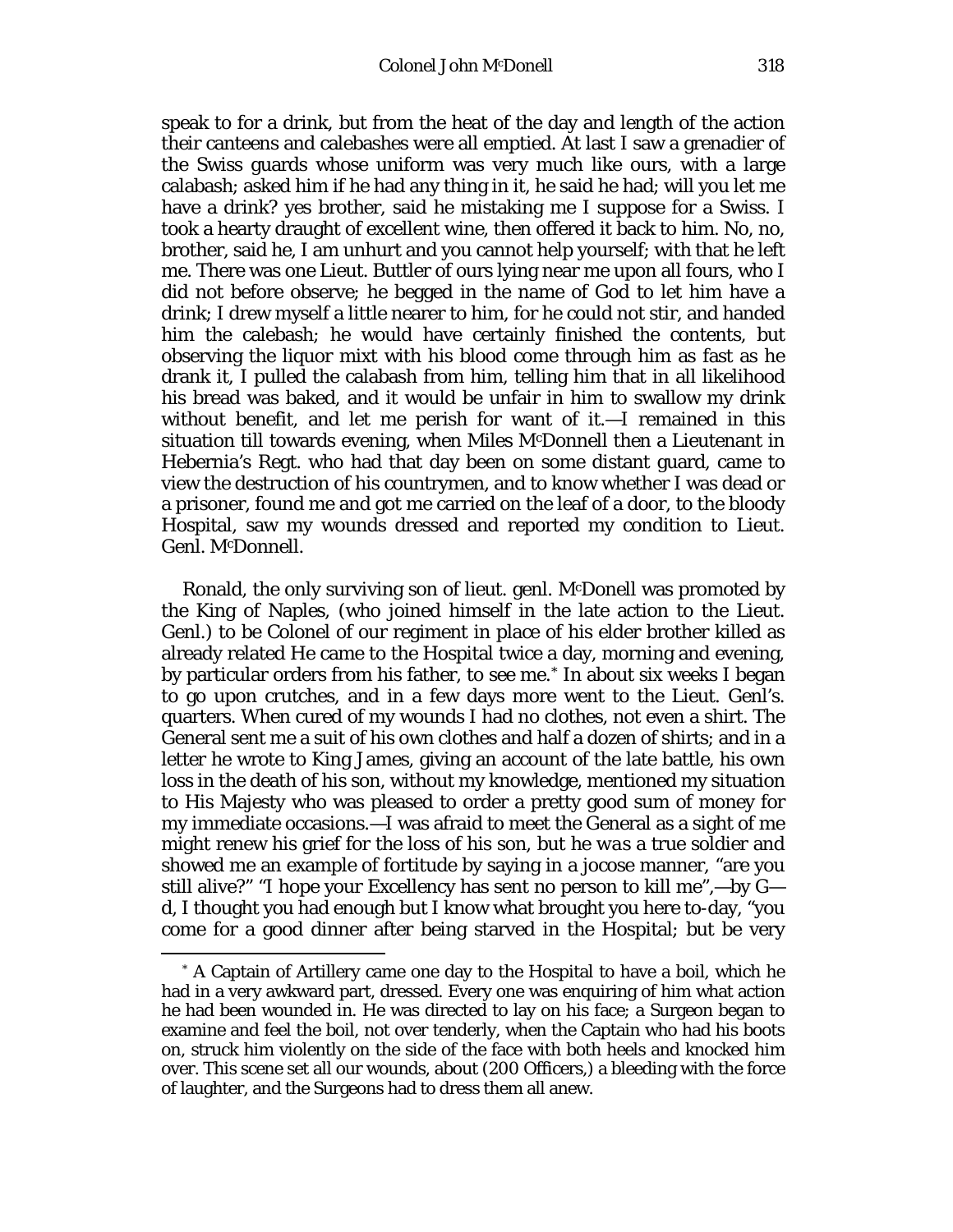speak to for a drink, but from the heat of the day and length of the action their canteens and calebashes were all emptied. At last I saw a grenadier of the Swiss guards whose uniform was very much like ours, with a large calabash; asked him if he had any thing in it, he said he had; will you let me have a drink? yes brother, said he mistaking me I suppose for a Swiss. I took a hearty draught of excellent wine, then offered it back to him. No, no, brother, said he, I am unhurt and you cannot help yourself; with that he left me. There was one Lieut. Buttler of ours lying near me upon all fours, who I did not before observe; he begged in the name of God to let him have a drink; I drew myself a little nearer to him, for he could not stir, and handed him the calebash; he would have certainly finished the contents, but observing the liquor mixt with his blood come through him as fast as he drank it, I pulled the calabash from him, telling him that in all likelihood his bread was baked, and it would be unfair in him to swallow my drink without benefit, and let me perish for want of it.—I remained in this situation till towards evening, when Miles McDonnell then a Lieutenant in Hebernia's Regt. who had that day been on some distant guard, came to view the destruction of his countrymen, and to know whether I was dead or a prisoner, found me and got me carried on the leaf of a door, to the bloody Hospital, saw my wounds dressed and reported my condition to Lieut. Genl. McDonnell.

Ronald, the only surviving son of lieut. genl. McDonell was promoted by the King of Naples, (who joined himself in the late action to the Lieut. Genl.) to be Colonel of our regiment in place of his elder brother killed as already related He came to the Hospital twice a day, morning and evening, by particular orders from his father, to see me.[\\*](#page-13-0) In about six weeks I began to go upon crutches, and in a few days more went to the Lieut. Genl's. quarters. When cured of my wounds I had no clothes, not even a shirt. The General sent me a suit of his own clothes and half a dozen of shirts; and in a letter he wrote to King James, giving an account of the late battle, his own loss in the death of his son, without my knowledge, mentioned my situation to His Majesty who was pleased to order a pretty good sum of money for my immediate occasions.—I was afraid to meet the General as a sight of me might renew his grief for the loss of his son, but he *was* a true soldier and showed me an example of fortitude by saying in a jocose manner, "are you still alive?" "I hope your Excellency has sent no person to kill me",—by G d, I thought you had enough but I know what brought you here to-day, "you come for a good dinner after being starved in the Hospital; but be very

<span id="page-13-0"></span><sup>\*</sup> A Captain of Artillery came one day to the Hospital to have a boil, which he had in a very awkward part, dressed. Every one was enquiring of him what action he had been wounded in. He was directed to lay on his face; a Surgeon began to examine and feel the boil, not over tenderly, when the Captain who had his boots on, struck him violently on the side of the face with both heels and knocked him over. This scene set all our wounds, about (200 Officers,) a bleeding with the force of laughter, and the Surgeons had to dress them all anew.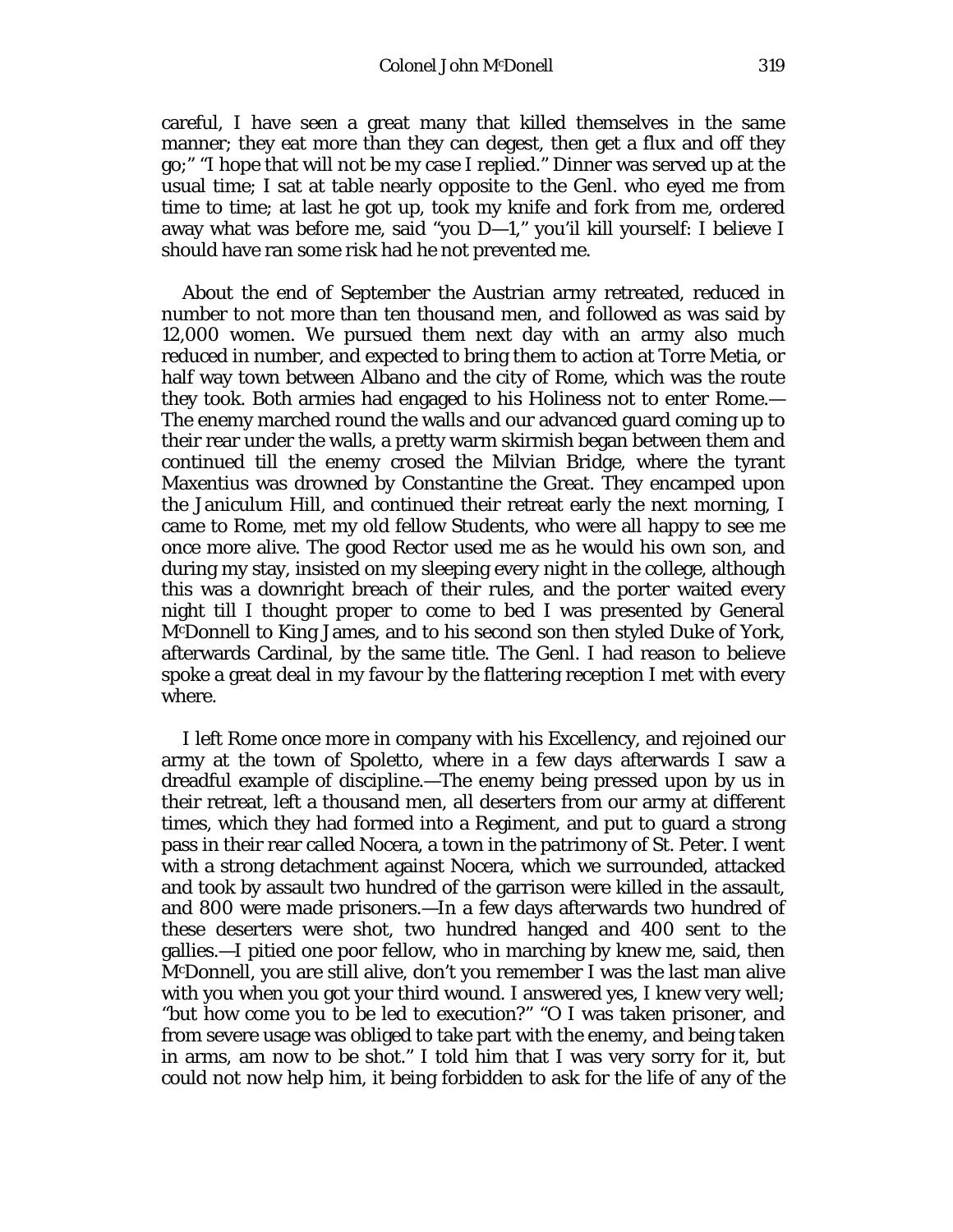careful, I have seen a great many that killed themselves in the same manner; they eat more than they can degest, then get a flux and off they go;" "I hope that will not be my case I replied." Dinner was served up at the usual time; I sat at table nearly opposite to the Genl. who eyed me from time to time; at last he got up, took my knife and fork from me, ordered away what was before me, said "you D—1," you'il kill yourself: I believe I should have ran some risk had he not prevented me.

About the end of September the Austrian army retreated, reduced in number to not more than ten thousand men, and followed as was said by 12,000 women. We pursued them next day with an army also much reduced in number, and expected to bring them to action at Torre Metia, or half way town between Albano and the city of Rome, which was the route they took. Both armies had engaged to his Holiness not to enter Rome.— The enemy marched round the walls and our advanced guard coming up to their rear under the walls, a pretty warm skirmish began between them and continued till the enemy crosed the Milvian Bridge, where the tyrant Maxentius was drowned by Constantine the Great. They encamped upon the Janiculum Hill, and continued their retreat early the next morning, I came to Rome, met my old fellow Students, who were all happy to see me once more alive. The good Rector used me as he would his own son, and during my stay, insisted on my sleeping every night in the college, although this was a downright breach of their rules, and the porter waited every night till I thought proper to come to bed I was presented by General McDonnell to King James, and to his second son then styled Duke of York, afterwards Cardinal, by the same title. The Genl. I had reason to believe spoke a great deal in my favour by the flattering reception I met with every where.

I left Rome once more in company with his Excellency, and rejoined our army at the town of Spoletto, where in a few days afterwards I saw a dreadful example of discipline.—The enemy being pressed upon by us in their retreat, left a thousand men, all deserters from our army at different times, which they had formed into a Regiment, and put to guard a strong pass in their rear called Nocera, a town in the patrimony of St. Peter. I went with a strong detachment against Nocera, which we surrounded, attacked and took by assault two hundred of the garrison were killed in the assault, and 800 were made prisoners.—In a few days afterwards two hundred of these deserters were shot, two hundred hanged and 400 sent to the gallies.—I pitied one poor fellow, who in marching by knew me, said, then McDonnell, you are still alive, don't you remember I was the last man alive with you when you got your third wound. I answered yes, I knew very well; "but how come you to be led to execution?" "O I was taken prisoner, and from severe usage was obliged to take part with the enemy, and being taken in arms, am now to be shot." I told him that I was very sorry for it, but could not now help him, it being forbidden to ask for the life of any of the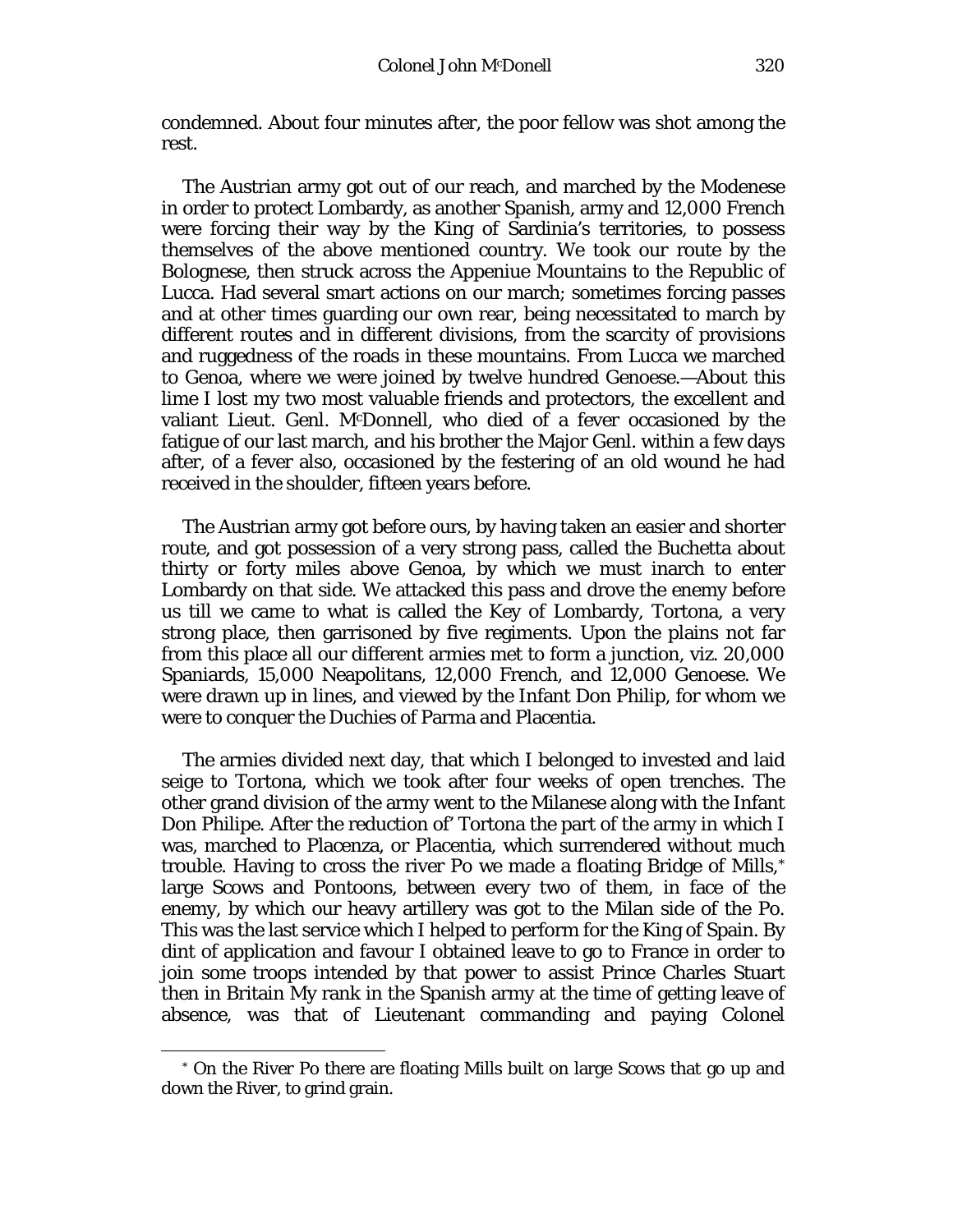condemned. About four minutes after, the poor fellow was shot among the rest.

The Austrian army got out of our reach, and marched by the Modenese in order to protect Lombardy, as another Spanish, army and 12,000 French were forcing their way by the King of Sardinia's territories, to possess themselves of the above mentioned country. We took our route by the Bolognese, then struck across the Appeniue Mountains to the Republic of Lucca. Had several smart actions on our march; sometimes forcing passes and at other times guarding our own rear, being necessitated to march by different routes and in different divisions, from the scarcity of provisions and ruggedness of the roads in these mountains. From Lucca we marched to Genoa, where we were joined by twelve hundred Genoese.—About this lime I lost my two most valuable friends and protectors, the excellent and valiant Lieut. Genl. McDonnell, who died of a fever occasioned by the fatigue of our last march, and his brother the Major Genl. within a few days after, of a fever also, occasioned by the festering of an old wound he had received in the shoulder, fifteen years before.

The Austrian army got before ours, by having taken an easier and shorter route, and got possession of a very strong pass, called the Buchetta about thirty or forty miles above Genoa, by which we must inarch to enter Lombardy on that side. We attacked this pass and drove the enemy before us till we came to what is called the Key of Lombardy, Tortona, a very strong place, then garrisoned by five regiments. Upon the plains not far from this place all our different armies met to form a junction, viz. 20,000 Spaniards, 15,000 Neapolitans, 12,000 French, and 12,000 Genoese. We were drawn up in lines, and viewed by the Infant Don Philip, for whom we were to conquer the Duchies of Parma and Placentia.

The armies divided next day, that which I belonged to invested and laid seige to Tortona, which we took after four weeks of open trenches. The other grand division of the army went to the Milanese along with the Infant Don Philipe. After the reduction of' Tortona the part of the army in which I was, marched to Placenza, or Placentia, which surrendered without much trouble. Having to cross the river Po we made a floating Bridge of Mills,[\\*](#page-15-0) large Scows and Pontoons, between every two of them, in face of the enemy, by which our heavy artillery was got to the Milan side of the Po. This was the last service which I helped to perform for the King of Spain. By dint of application and favour I obtained leave to go to France in order to join some troops intended by that power to assist Prince Charles Stuart then in Britain My rank in the Spanish army at the time of getting leave of absence, was that of Lieutenant commanding and paying Colonel

 $\overline{\phantom{a}}$ 

<span id="page-15-0"></span><sup>\*</sup> On the River Po there are floating Mills built on large Scows that go up and down the River, to grind grain.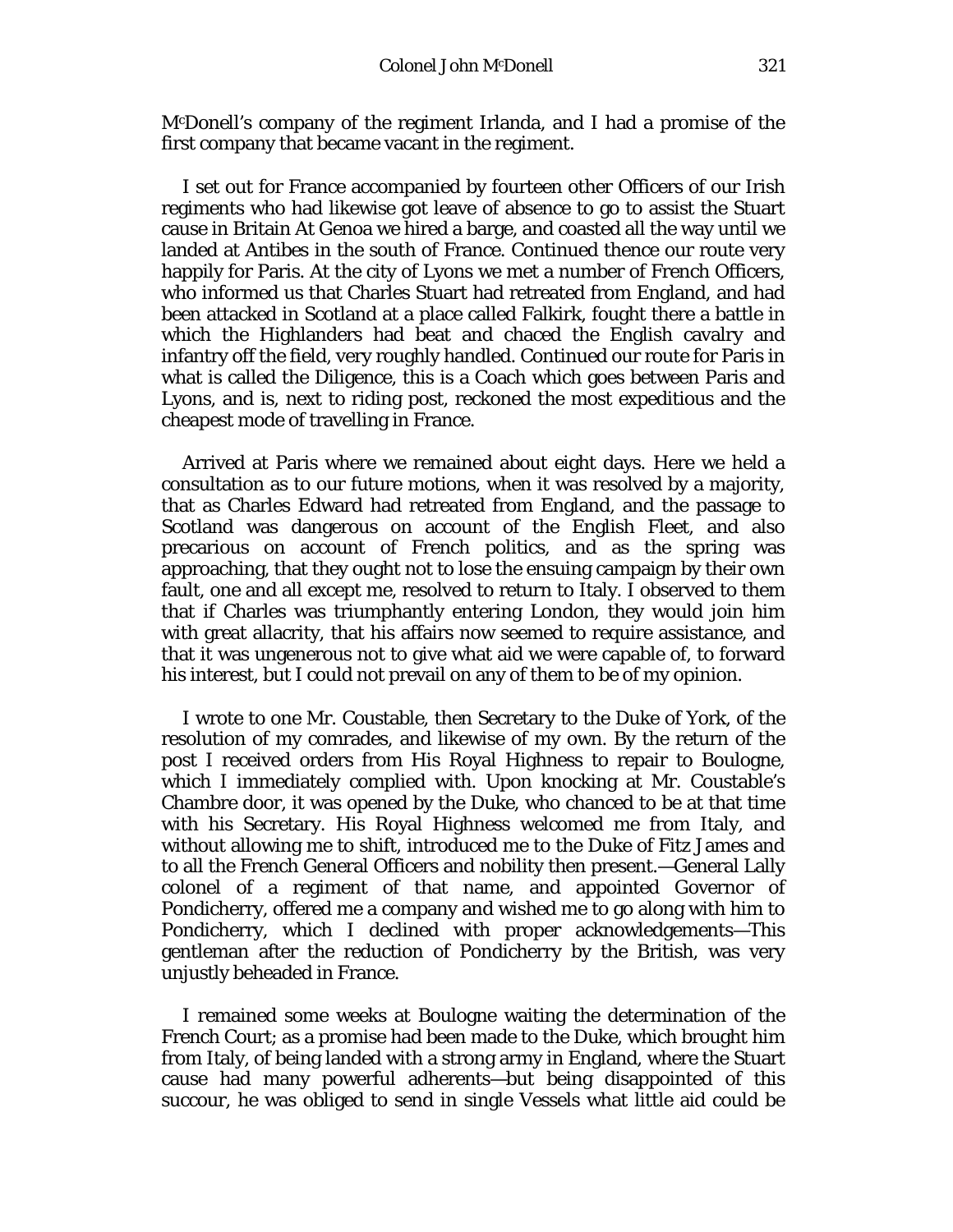McDonell's company of the regiment Irlanda, and I had a promise of the first company that became vacant in the regiment.

I set out for France accompanied by fourteen other Officers of our Irish regiments who had likewise got leave of absence to go to assist the Stuart cause in Britain At Genoa we hired a barge, and coasted all the way until we landed at Antibes in the south of France. Continued thence our route very happily for Paris. At the city of Lyons we met a number of French Officers, who informed us that Charles Stuart had retreated from England, and had been attacked in Scotland at a place called Falkirk, fought there a battle in which the Highlanders had beat and chaced the English cavalry and infantry off the field, very roughly handled. Continued our route for Paris in what is called the Diligence, this is a Coach which goes between Paris and Lyons, and is, next to riding post, reckoned the most expeditious and the cheapest mode of travelling in France.

Arrived at Paris where we remained about eight days. Here we held a consultation as to our future motions, when it was resolved by a majority, that as Charles Edward had retreated from England, and the passage to Scotland was dangerous on account of the English Fleet, and also precarious on account of French politics, and as the spring was approaching, that they ought not to lose the ensuing campaign by their own fault, one and all except me, resolved to return to Italy. I observed to them that if Charles was triumphantly entering London, they would join him with great allacrity, that his affairs now seemed to require assistance, and that it was ungenerous not to give what aid we were capable of, to forward his interest, but I could not prevail on any of them to be of my opinion.

I wrote to one Mr. Coustable, then Secretary to the Duke of York, of the resolution of my comrades, and likewise of my own. By the return of the post I received orders from His Royal Highness to repair to Boulogne, which I immediately complied with. Upon knocking at Mr. Coustable's Chambre door, it was opened by the Duke, who chanced to be at that time with his Secretary. His Royal Highness welcomed me from Italy, and without allowing me to shift, introduced me to the Duke of Fitz James and to all the French General Officers and nobility then present.—General Lally colonel of a regiment of that name, and appointed Governor of Pondicherry, offered me a company and wished me to go along with him to Pondicherry, which I declined with proper acknowledgements—This gentleman after the reduction of Pondicherry by the British, was very unjustly beheaded in France.

I remained some weeks at Boulogne waiting the determination of the French Court; as a promise had been made to the Duke, which brought him from Italy, of being landed with a strong army in England, where the Stuart cause had many powerful adherents—but being disappointed of this succour, he was obliged to send in single Vessels what little aid could be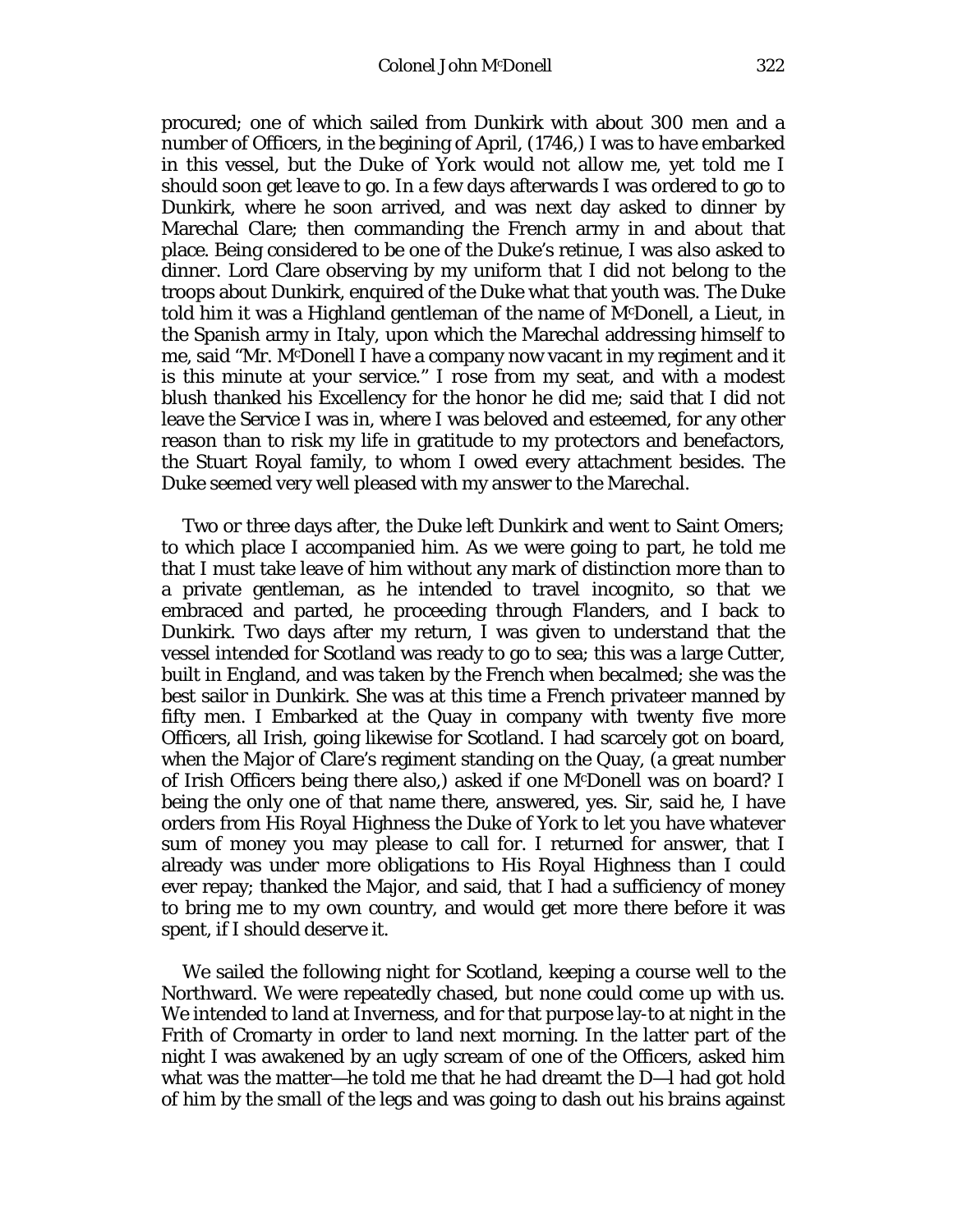procured; one of which sailed from Dunkirk with about 300 men and a number of Officers, in the begining of April, (1746,) I was to have embarked in this vessel, but the Duke of York would not allow me, yet told me I should soon get leave to go. In a few days afterwards I was ordered to go to Dunkirk, where he soon arrived, and was next day asked to dinner by Marechal Clare; then commanding the French army in and about that place. Being considered to be one of the Duke's retinue, I was also asked to dinner. Lord Clare observing by my uniform that I did not belong to the troops about Dunkirk, enquired of the Duke what that youth was. The Duke told him it was a Highland gentleman of the name of McDonell, a Lieut, in the Spanish army in Italy, upon which the Marechal addressing himself to me, said "Mr. McDonell I have a company now vacant in my regiment and it is this minute at your service." I rose from my seat, and with a modest blush thanked his Excellency for the honor he did me; said that I did not leave the Service I was in, where I was beloved and esteemed, for any other reason than to risk my life in gratitude to my protectors and benefactors, the Stuart Royal family, to whom I owed every attachment besides. The Duke seemed very well pleased with my answer to the Marechal.

Two or three days after, the Duke left Dunkirk and went to Saint Omers; to which place I accompanied him. As we were going to part, he told me that I must take leave of him without any mark of distinction more than to a private gentleman, as he intended to travel incognito, so that we embraced and parted, he proceeding through Flanders, and I back to Dunkirk. Two days after my return, I was given to understand that the vessel intended for Scotland was ready to go to sea; this was a large Cutter, built in England, and was taken by the French when becalmed; she was the best sailor in Dunkirk. She was at this time a French privateer manned by fifty men. I Embarked at the Quay in company with twenty five more Officers, all Irish, going likewise for Scotland. I had scarcely got on board, when the Major of Clare's regiment standing on the Quay, (a great number of Irish Officers being there also,) asked if one McDonell was on board? I being the only one of that name there, answered, yes. Sir, said he, I have orders from His Royal Highness the Duke of York to let you have whatever sum of money you may please to call for. I returned for answer, that I already was under more obligations to His Royal Highness than I could ever repay; thanked the Major, and said, that I had a sufficiency of money to bring me to my own country, and would get more there before it was spent, if I should deserve it.

We sailed the following night for Scotland, keeping a course well to the Northward. We were repeatedly chased, but none could come up with us. We intended to land at Inverness, and for that purpose lay-to at night in the Frith of Cromarty in order to land next morning. In the latter part of the night I was awakened by an ugly scream of one of the Officers, asked him what was the matter—he told me that he had dreamt the D—l had got hold of him by the small of the legs and was going to dash out his brains against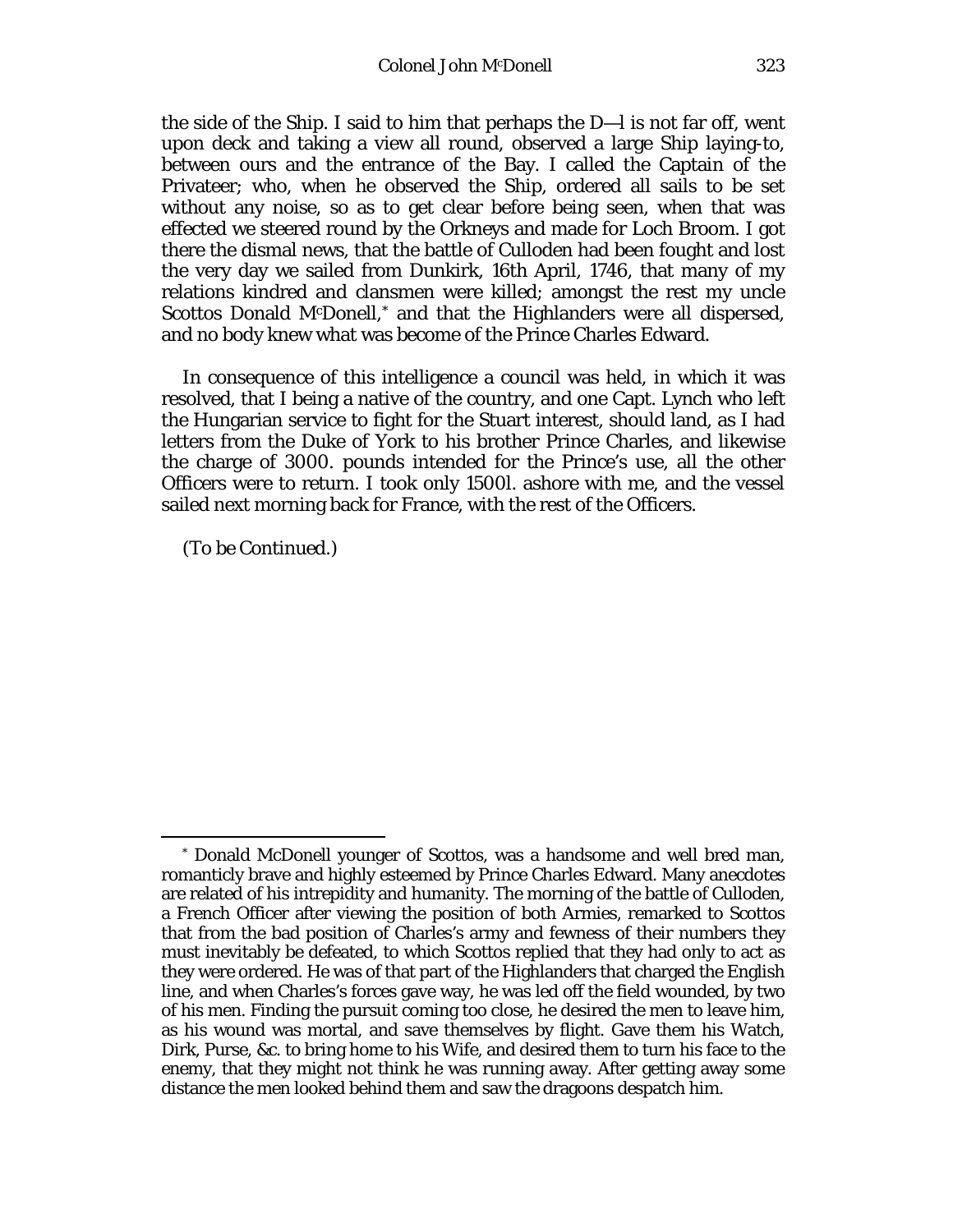the side of the Ship. I said to him that perhaps the D—l is not far off, went upon deck and taking a view all round, observed a large Ship laying-to, between ours and the entrance of the Bay. I called the Captain of the Privateer; who, when he observed the Ship, ordered all sails to be set without any noise, so as to get clear before being seen, when that was effected we steered round by the Orkneys and made for Loch Broom. I got there the dismal news, that the battle of Culloden had been fought and lost the very day we sailed from Dunkirk, 16th April, 1746, that many of my relations kindred and clansmen were killed; amongst the rest my uncle Scottos Donald McDonell,[\\*](#page-18-0) and that the Highlanders were all dispersed, and no body knew what was become of the Prince Charles Edward.

In consequence of this intelligence a council was held, in which it was resolved, that I being a native of the country, and one Capt. Lynch who left the Hungarian service to fight for the Stuart interest, should land, as I had letters from the Duke of York to his brother Prince Charles, and likewise the charge of 3000. pounds intended for the Prince's use, all the other Officers were to return. I took only 1500*l*. ashore with me, and the vessel sailed next morning back for France, with the rest of the Officers.

*(To be Continued.)*

<span id="page-18-0"></span><sup>\*</sup> Donald McDonell younger of Scottos, was a handsome and well bred man, romanticly brave and highly esteemed by Prince Charles Edward. Many anecdotes are related of his intrepidity and humanity. The morning of the battle of Culloden, a French Officer after viewing the position of both Armies, remarked to Scottos that from the bad position of Charles's army and fewness of their numbers they must inevitably be defeated, to which Scottos replied that they had only to act as they were ordered. He was of that part of the Highlanders that charged the English line, and when Charles's forces gave way, he was led off the field wounded, by two of his men. Finding the pursuit coming too close, he desired the men to leave him, as his wound was mortal, and save themselves by flight. Gave them his Watch, Dirk, Purse, &c. to bring home to his Wife, and desired them to turn his face to the enemy, that they might not think he was running away. After getting away some distance the men looked behind them and saw the dragoons despatch him.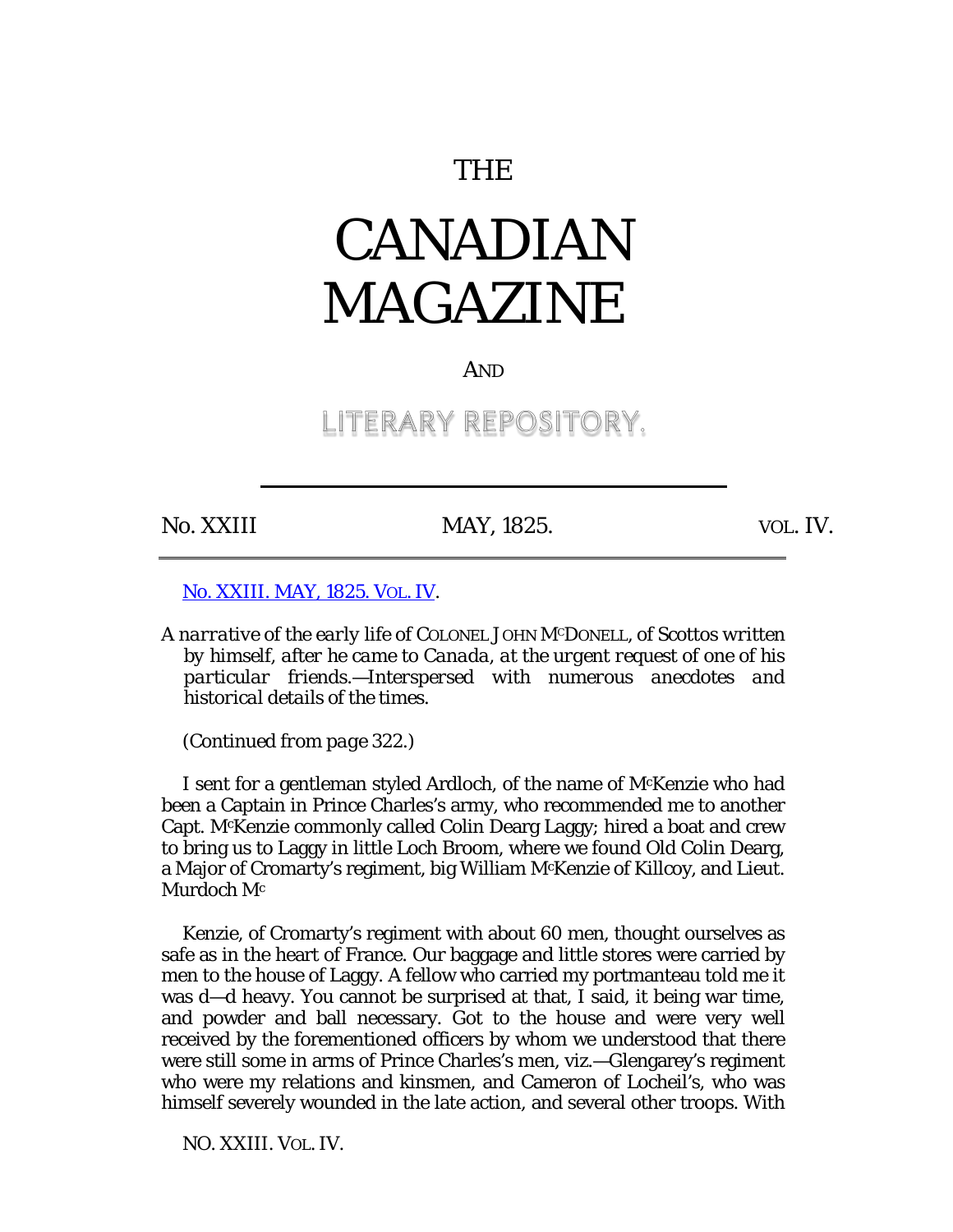## THE

# CANADIAN MAGAZINE

### AND

## LITERARY REPOSITORY.

No. XXIII MAY, 1825. VOL. IV.

#### [No. XXIII. MAY, 1825. VOL.IV.](https://books.google.com/books?id=IIceAQAAMAAJ&pg=PA385#v=onepage&q&f=false)

*A narrative of the early life of COLONEL JOHN MCDONELL, of Scottos written by himself, after he came to Canada, at the urgent request of one of his particular friends.*—*Interspersed with numerous anecdotes and historical details of the times.*

*(Continued from page* 322.*)*

I sent for a gentleman styled Ardloch, of the name of  $M<sup>c</sup>$ Kenzie who had been a Captain in Prince Charles's army, who recommended me to another Capt. McKenzie commonly called Colin Dearg Laggy; hired a boat and crew to bring us to Laggy in little Loch Broom, where we found Old Colin Dearg, a Major of Cromarty's regiment, big William McKenzie of Killcoy, and Lieut. Murdoch M<sup>c</sup>

Kenzie, of Cromarty's regiment with about 60 men, thought ourselves as safe as in the heart of France. Our baggage and little stores were carried by men to the house of Laggy. A fellow who carried my portmanteau told me it was d—d heavy. You cannot be surprised at that, I said, it being war time, and powder and ball necessary. Got to the house and were very well received by the forementioned officers by whom we understood that there were still some in arms of Prince Charles's men, viz.—Glengarey's regiment who were my relations and kinsmen, and Cameron of Locheil's, who was himself severely wounded in the late action, and several other troops. With

NO. XXIII. VOL.IV.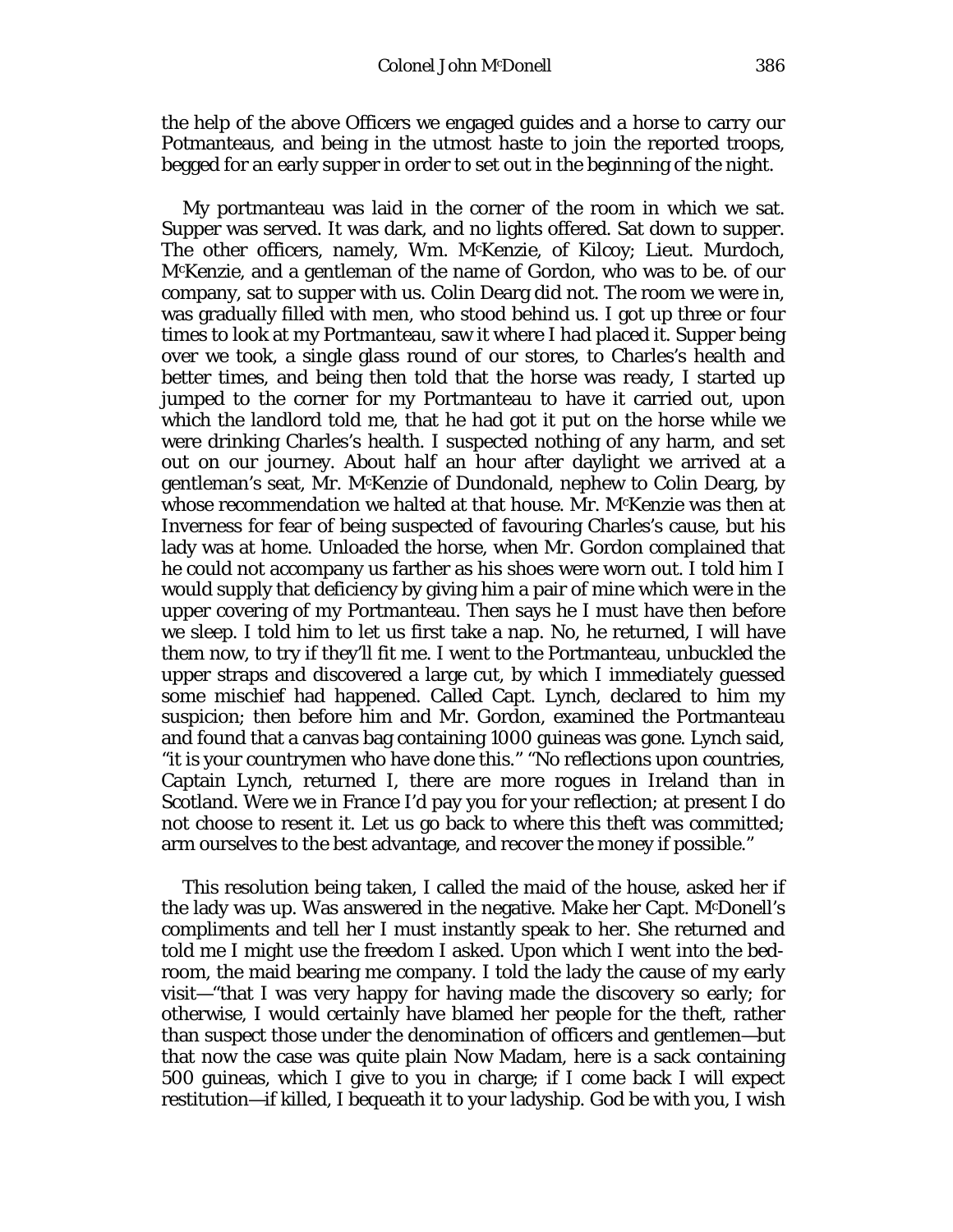the help of the above Officers we engaged guides and a horse to carry our Potmanteaus, and being in the utmost haste to join the reported troops, begged for an early supper in order to set out in the beginning of the night.

My portmanteau was laid in the corner of the room in which we sat. Supper was served. It was dark, and no lights offered. Sat down to supper. The other officers, namely, Wm. McKenzie, of Kilcoy; Lieut. Murdoch, McKenzie, and a gentleman of the name of Gordon, who was to be. of our company, sat to supper with us. Colin Dearg did not. The room we were in, was gradually filled with men, who stood behind us. I got up three or four times to look at my Portmanteau, saw it where I had placed it. Supper being over we took, a single glass round of our stores, to Charles's health and better times, and being then told that the horse was ready, I started up jumped to the corner for my Portmanteau to have it carried out, upon which the landlord told me, that he had got it put on the horse while we were drinking Charles's health. I suspected nothing of any harm, and set out on our journey. About half an hour after daylight we arrived at a gentleman's seat, Mr. McKenzie of Dundonald, nephew to Colin Dearg, by whose recommendation we halted at that house. Mr. M<sup>c</sup>Kenzie was then at Inverness for fear of being suspected of favouring Charles's cause, but his lady was at home. Unloaded the horse, when Mr. Gordon complained that he could not accompany us farther as his shoes were worn out. I told him I would supply that deficiency by giving him a pair of mine which were in the upper covering of my Portmanteau. Then says he I must have then before we sleep. I told him to let us first take a nap. No, he returned, I will have them now, to try if they'll fit me. I went to the Portmanteau, unbuckled the upper straps and discovered a large cut, by which I immediately guessed some mischief had happened. Called Capt. Lynch, declared to him my suspicion; then before him and Mr. Gordon, examined the Portmanteau and found that a canvas bag containing 1000 guineas was gone. Lynch said, "it is your countrymen who have done this." "No reflections upon countries, Captain Lynch, returned I, there are more rogues in Ireland than in Scotland. Were we in France I'd pay you for your reflection; at present I do not choose to resent it. Let us go back to where this theft was committed; arm ourselves to the best advantage, and recover the money if possible."

This resolution being taken, I called the maid of the house, asked her if the lady was up. Was answered in the negative. Make her Capt. McDonell's compliments and tell her I must instantly speak to her. She returned and told me I might use the freedom I asked. Upon which I went into the bedroom, the maid bearing me company. I told the lady the cause of my early visit—"that I was very happy for having made the discovery so early; for otherwise, I would certainly have blamed her people for the theft, rather than suspect those under the denomination of officers and gentlemen—but that now the case was quite plain Now Madam, here is a sack containing 500 guineas, which I give to you in charge; if I come back I will expect restitution—if killed, I bequeath it to your ladyship. God be with you, I wish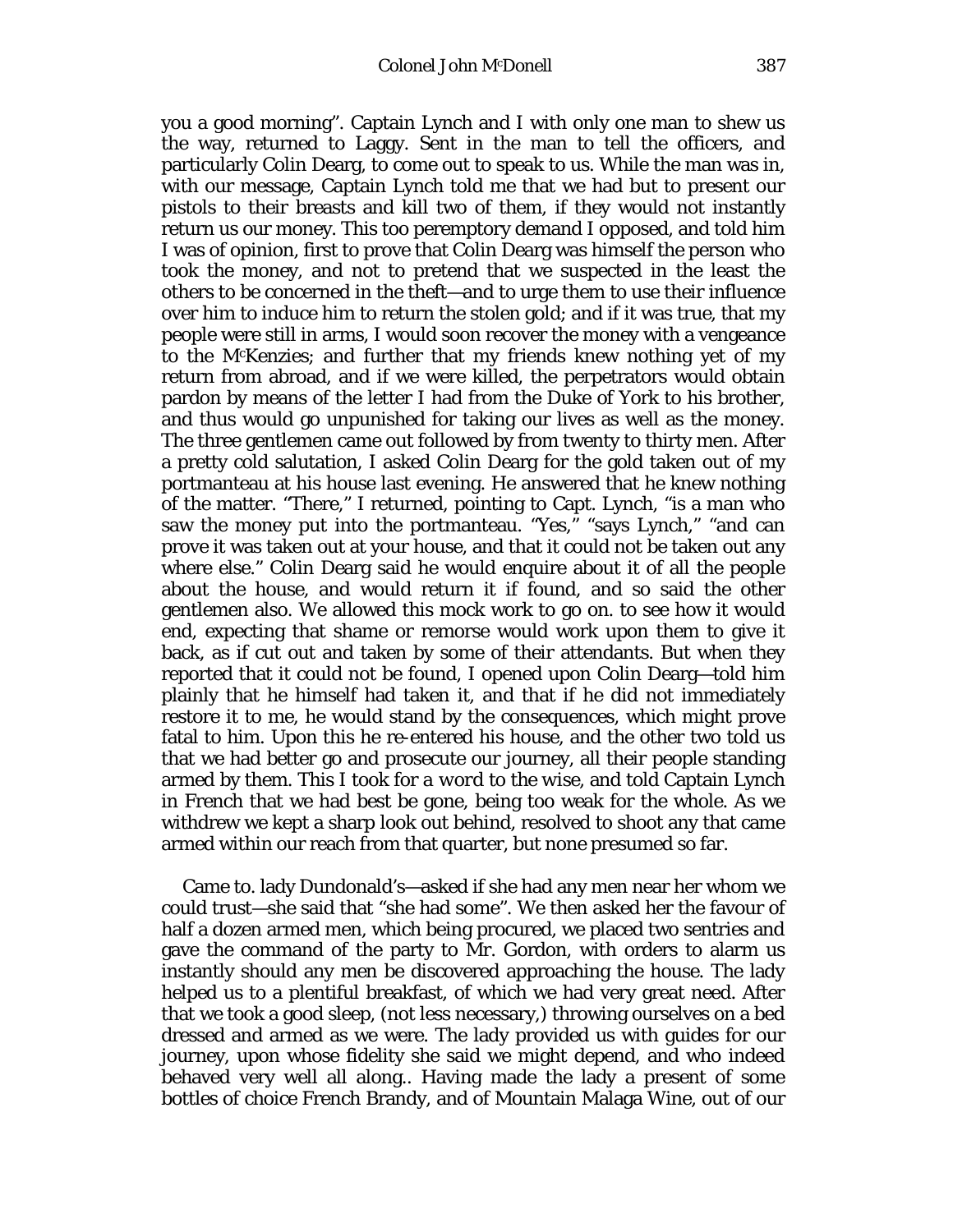you a good morning". Captain Lynch and I with only one man to shew us the way, returned to Laggy. Sent in the man to tell the officers, and particularly Colin Dearg, to come out to speak to us. While the man was in, with our message, Captain Lynch told me that we had but to present our pistols to their breasts and kill two of them, if they would not instantly return us our money. This too peremptory demand I opposed, and told him I was of opinion, first to prove that Colin Dearg was himself the person who took the money, and not to pretend that we suspected in the least the others to be concerned in the theft—and to urge them to use their influence over him to induce him to return the stolen gold; and if it was true, that my people were still in arms, I would soon recover the money with a vengeance to the McKenzies; and further that my friends knew nothing yet of my return from abroad, and if we were killed, the perpetrators would obtain pardon by means of the letter I had from the Duke of York to his brother, and thus would go unpunished for taking our lives as well as the money. The three gentlemen came out followed by from twenty to thirty men. After a pretty cold salutation, I asked Colin Dearg for the gold taken out of my portmanteau at his house last evening. He answered that he knew nothing of the matter. "There," I returned, pointing to Capt. Lynch, "is a man who saw the money put into the portmanteau. "Yes," "says Lynch," "and can prove it was taken out at your house, and that it could not be taken out any where else." Colin Dearg said he would enquire about it of all the people about the house, and would return it if found, and so said the other gentlemen also. We allowed this mock work to go on. to see how it would end, expecting that shame or remorse would work upon them to give it back, as if cut out and taken by some of their attendants. But when they reported that it could not be found, I opened upon Colin Dearg—told him plainly that he himself had taken it, and that if he did not immediately restore it to me, he would stand by the consequences, which might prove fatal to him. Upon this he re-entered his house, and the other two told us that we had better go and prosecute our journey, all their people standing armed by them. This I took for *a word to the wise,* and told Captain Lynch in French that we had best be gone, being too weak for the whole. As we withdrew we kept a sharp look out behind, resolved to shoot any that came armed within our reach from that quarter, but none presumed so far.

Came to. lady Dundonald's—asked if she had any men near her whom we could trust—she said that "she had some". We then asked her the favour of half a dozen armed men, which being procured, we placed two sentries and gave the command of the party to Mr. Gordon, with orders to alarm us instantly should any men be discovered approaching the house. The lady helped us to a plentiful breakfast, of which we had very great need. After that we took a good sleep, (not less necessary,) throwing ourselves on a bed dressed and armed as we were. The lady provided us with guides for our journey, upon whose fidelity she said we might depend, and who indeed behaved very well all along.. Having made the lady a present of some bottles of choice French Brandy, and of Mountain Malaga Wine, out of our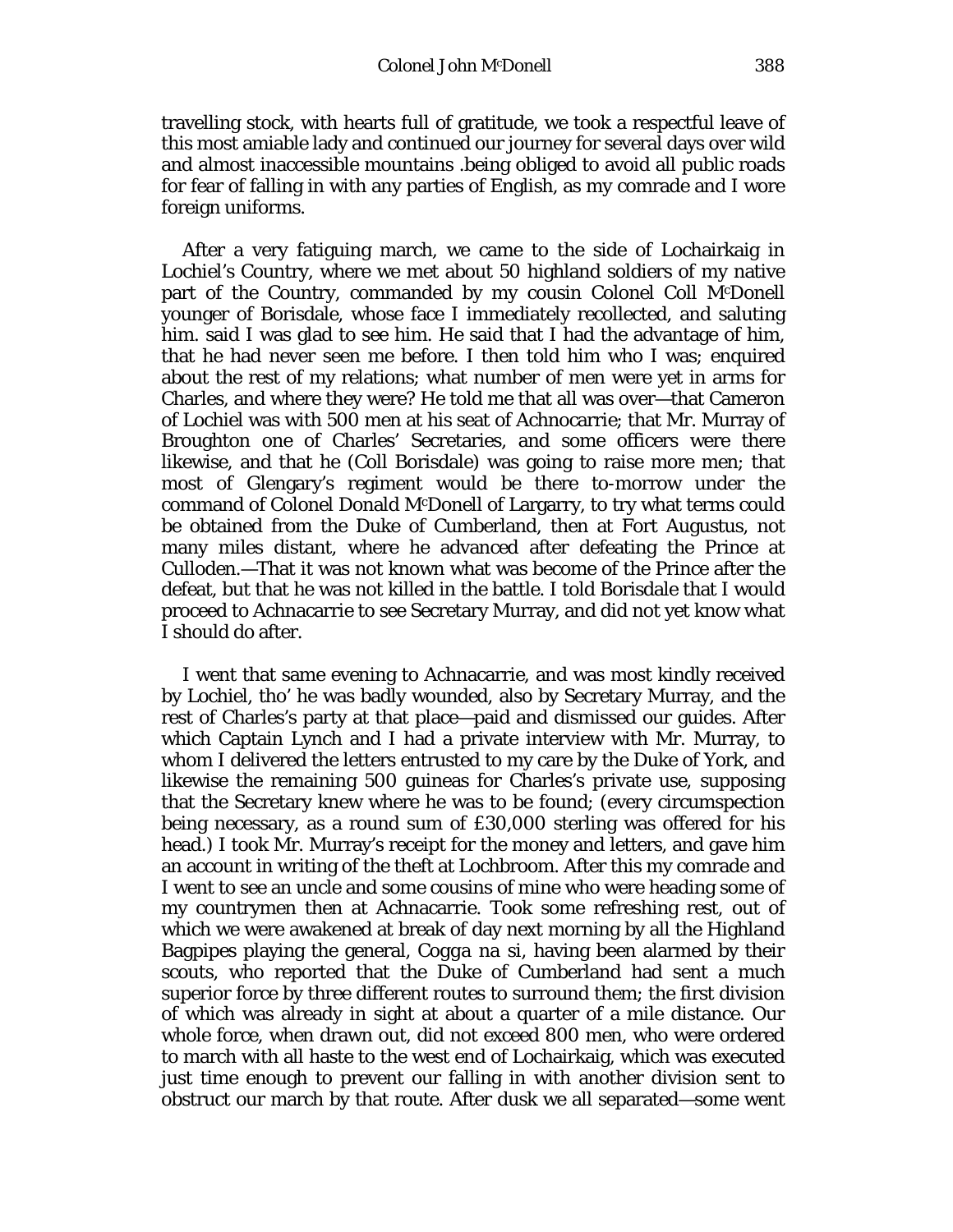travelling stock, with hearts full of gratitude, we took a respectful leave of this most amiable lady and continued our journey for several days over wild and almost inaccessible mountains .being obliged to avoid all public roads for fear of falling in with any parties of English, as my comrade and I wore foreign uniforms.

After a very fatiguing march, we came to the side of Lochairkaig in Lochiel's Country, where we met about 50 highland soldiers of my native part of the Country, commanded by my cousin Colonel Coll McDonell younger of Borisdale, whose face I immediately recollected, and saluting him. said I was glad to see him. He said that I had the advantage of him, that he had never seen me before. I then told him who I was; enquired about the rest of my relations; what number of men were yet in arms for Charles, and where they were? He told me that all was over—that Cameron of Lochiel was with 500 men at his seat of Achnocarrie; that Mr. Murray of Broughton one of Charles' Secretaries, and some officers were there likewise, and that he (Coll Borisdale) was going to raise more men; that most of Glengary's regiment would be there to-morrow under the command of Colonel Donald McDonell of Largarry, to try what terms could be obtained from the Duke of Cumberland, then at Fort Augustus, not many miles distant, where he advanced after defeating the Prince at Culloden.—That it was not known what was become of the Prince after the defeat, but that he was not killed in the battle. I told Borisdale that I would proceed to Achnacarrie to see Secretary Murray, and did not yet know what I should do after.

I went that same evening to Achnacarrie, and was most kindly received by Lochiel, tho' he was badly wounded, also by Secretary Murray, and the rest of Charles's party at that place—paid and dismissed our guides. After which Captain Lynch and I had a private interview with Mr. Murray, to whom I delivered the letters entrusted to my care by the Duke of York, and likewise the remaining 500 guineas for Charles's private use, supposing that the Secretary knew where he was to be found; (every circumspection being necessary, as a round sum of £30,000 sterling was offered for his head.) I took Mr. Murray's receipt for the money and letters, and gave him an account in writing of the theft at Lochbroom. After this my comrade and I went to see an uncle and some cousins of mine who were heading some of my countrymen then at Achnacarrie. Took some refreshing rest, out of which we were awakened at break of day next morning by all the Highland Bagpipes playing the general, *Cogga na si,* having been alarmed by their scouts, who reported that the Duke of Cumberland had sent a much superior force by three different routes to surround them; the first division of which was already in sight at about a quarter of a mile distance. Our whole force, when drawn out, did not exceed 800 men, who were ordered to march with all haste to the west end of Lochairkaig, which was executed just time enough to prevent our falling in with another division sent to obstruct our march by that route. After dusk we all separated—some went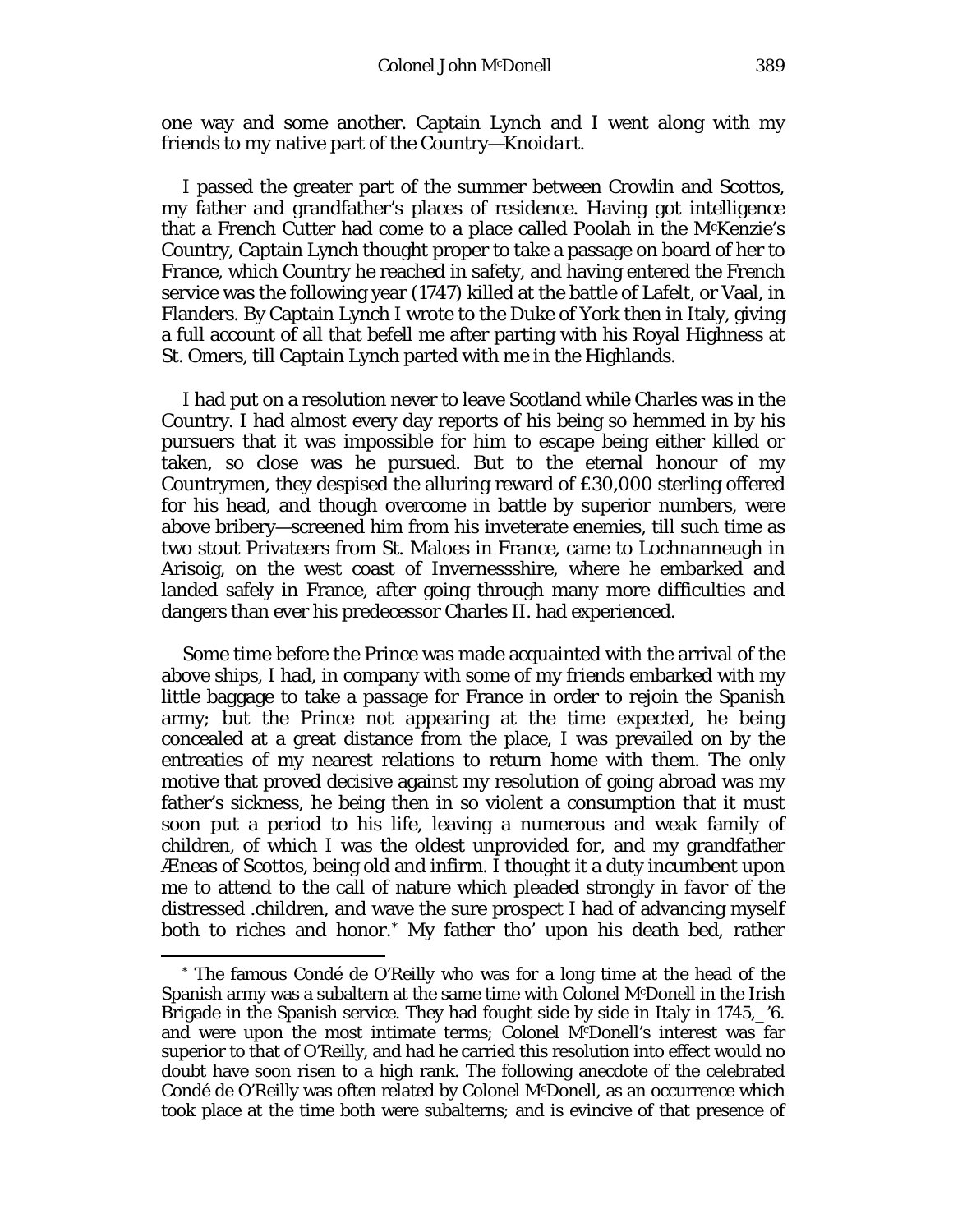one way and some another. Captain Lynch and I went along with my friends to my native part of the Country—*Knoidart.* 

I passed the greater part of the summer between Crowlin and Scottos, my father and grandfather's places of residence. Having got intelligence that a French Cutter had come to a place called Poolah in the McKenzie's Country, Captain Lynch thought proper to take a passage on board of her to France, which Country he reached in safety, and having entered the French service was the following year (1747) killed at the battle of Lafelt, or Vaal, in Flanders. By Captain Lynch I wrote to the Duke of York then in Italy, giving a full account of all that befell me after parting with his Royal Highness at St. Omers, till Captain Lynch parted with me in the Highlands.

I had put on a resolution never to leave Scotland while Charles was in the Country. I had almost every day reports of his being so hemmed in by his pursuers that it was impossible for him to escape being either killed or taken, so close was he pursued. But to the eternal honour of my Countrymen, they despised the alluring reward of £30,000 sterling offered for his head, and though overcome in battle by superior numbers, were above bribery—screened him from his inveterate enemies, till such time as two stout Privateers from St. Maloes in France, came to Lochnanneugh in Arisoig, on the west coast of Invernessshire, where he embarked and landed safely in France, after going through many more difficulties and dangers than ever his predecessor Charles II. had experienced.

Some time before the Prince was made acquainted with the arrival of the above ships, I had, in company with some of my friends embarked with my little baggage to take a passage for France in order to rejoin the Spanish army; but the Prince not appearing at the time expected, he being concealed at a great distance from the place, I was prevailed on by the entreaties of my nearest relations to return home with them. The only motive that proved decisive against my resolution of going abroad was my father's sickness, he being then in so violent a consumption that it must soon put a period to his life, leaving a numerous and weak family of children, of which I was the oldest unprovided for, and my grandfather Æneas of Scottos, being old and infirm. I thought it a duty incumbent upon me to attend to the call of nature which pleaded strongly in favor of the distressed .children, and wave the sure prospect I had of advancing myself both to riches and honor.[\\*](#page-23-0) My father tho' upon his death bed, rather

<span id="page-23-0"></span><sup>\*</sup> The famous Condé de O'Reilly who was for a long time at the head of the Spanish army was a subaltern at the same time with Colonel McDonell in the Irish Brigade in the Spanish service. They had fought side by side in Italy in 1745, '6. and were upon the most intimate terms; Colonel McDonell's interest was far superior to that of O'Reilly, and had he carried this resolution into effect would no doubt have soon risen to a high rank. The following anecdote of the celebrated Condé de O'Reilly was often related by Colonel McDonell, as an occurrence which took place at the time both were subalterns; and is evincive of that presence of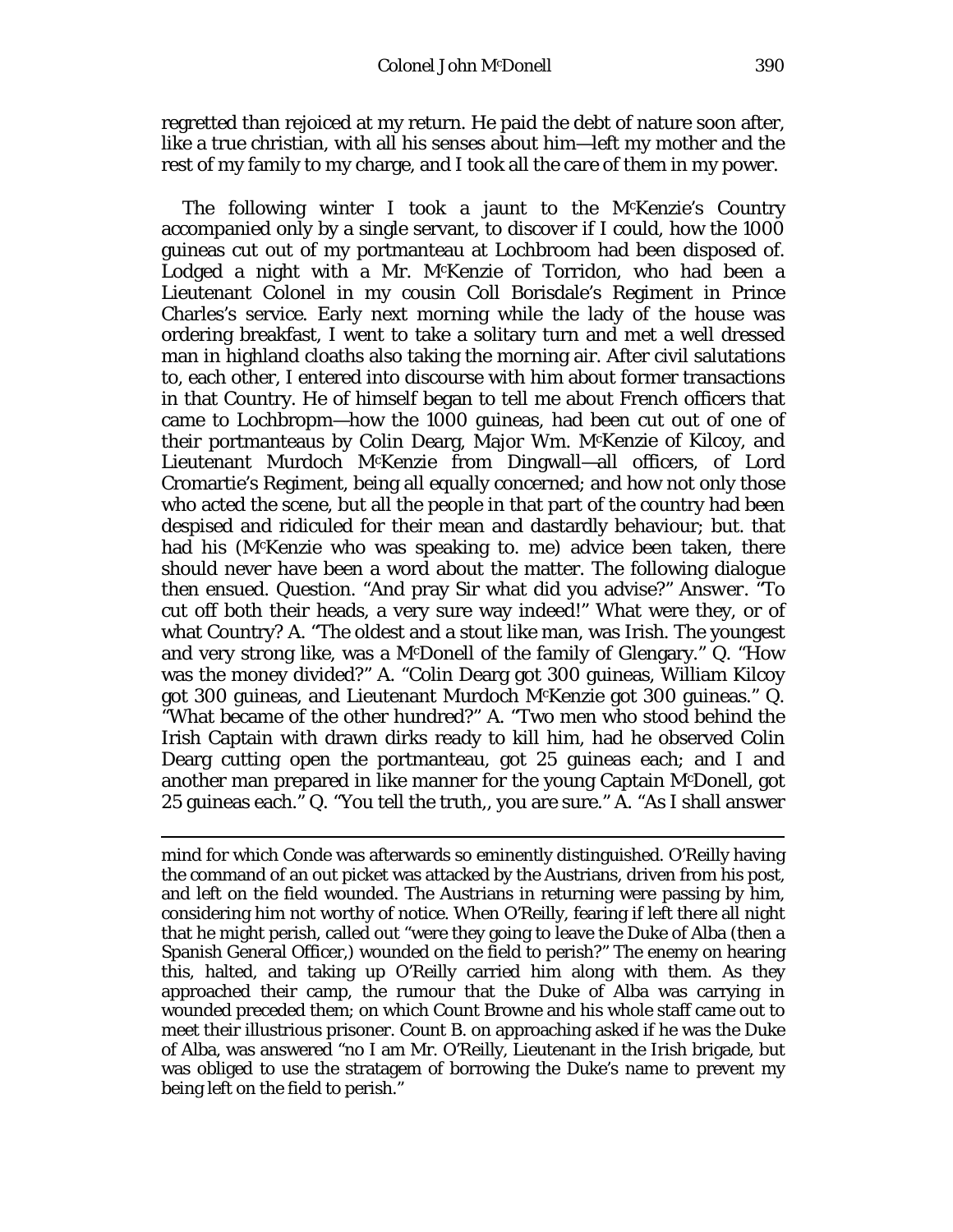regretted than rejoiced at my return. He paid the debt of nature soon after, like a true christian, with all his senses about him—left my mother and the rest of my family to my charge, and I took all the care of them in my power.

The following winter I took a jaunt to the M<sup>c</sup>Kenzie's Country accompanied only by a single servant, to discover if I could, how the 1000 guineas cut out of my portmanteau at Lochbroom had been disposed of. Lodged a night with a Mr. McKenzie of Torridon, who had been a Lieutenant Colonel in my cousin Coll Borisdale's Regiment in Prince Charles's service. Early next morning while the lady of the house was ordering breakfast, I went to take a solitary turn and met a well dressed man in highland cloaths also taking the morning air. After civil salutations to, each other, I entered into discourse with him about former transactions in that Country. He of himself began to tell me about French officers that came to Lochbropm—how the 1000 guineas, had been cut out of one of their portmanteaus by Colin Dearg, Major Wm. McKenzie of Kilcoy, and Lieutenant Murdoch McKenzie from Dingwall—all officers, of Lord Cromartie's Regiment, being all equally concerned; and how not only those who acted the scene, but all the people in that part of the country had been despised and ridiculed for their mean and dastardly behaviour; but. that had his (McKenzie who was speaking to. me) advice been taken, there should never have been a word about the matter. The following dialogue then ensued. *Question.* "And pray Sir what did you advise*?" Answer. "*To cut off both their heads, a very sure way indeed!" What were they, or of what Country? *A.* "The oldest and a stout like man, was Irish. The youngest and very strong like, was a McDonell of the family of Glengary." Q. "How was the money divided?" *A.* "Colin Dearg got 300 guineas, William Kilcoy got 300 guineas, and Lieutenant Murdoch McKenzie got 300 guineas." Q. "What became of the other hundred?" *A.* "Two men who stood behind the Irish Captain with drawn dirks ready to kill him, had he observed Colin Dearg cutting open the portmanteau, got 25 guineas each; and I and another man prepared in like manner for the young Captain McDonell, got 25 guineas each." Q. "You tell the truth,, you are sure." *A.* "As I shall answer

mind for which Conde was afterwards so eminently distinguished. O'Reilly having the command of an out picket was attacked by the Austrians, driven from his post, and left on the field wounded. The Austrians in returning were passing by him, considering him not worthy of notice. When O'Reilly, fearing if left there all night that he might perish, called out "were they going to leave the Duke of Alba (then a Spanish General Officer,) wounded on the field to perish?" The enemy on hearing this, halted, and taking up O'Reilly carried him along with them. As they approached their camp, the rumour that the Duke of Alba was carrying in wounded preceded them; on which Count Browne and his whole staff came out to meet their illustrious prisoner. Count B. on approaching asked if he was the Duke of Alba, was answered "no I am Mr. O'Reilly, Lieutenant in the Irish brigade, but was obliged to use the stratagem of borrowing the Duke's name to prevent my being left on the field to perish."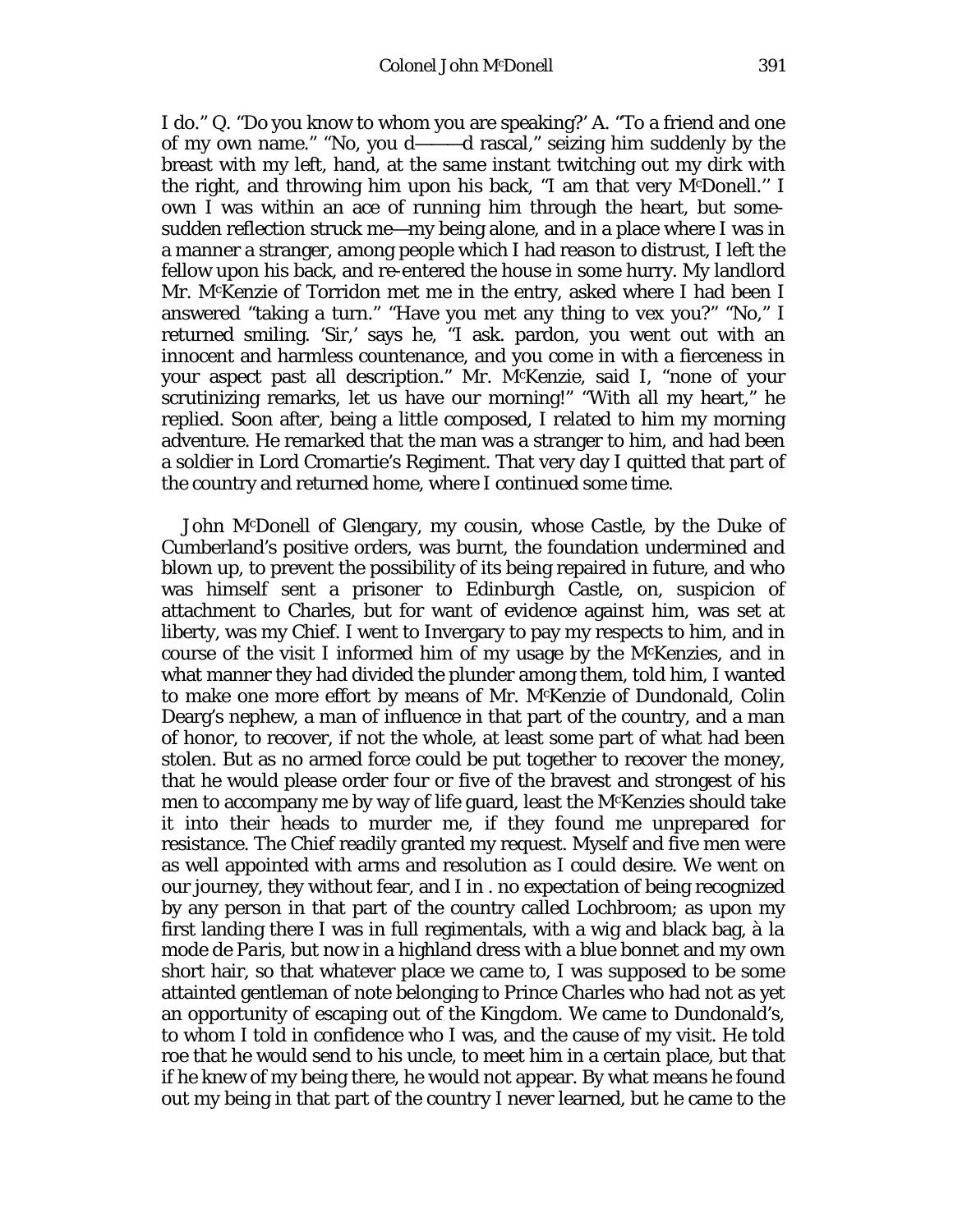I do." *Q.* "Do you know to whom you are speaking?' *A.* "To a friend and one of my own name." "No, you d———d rascal," seizing him suddenly by the breast with my left, hand, at the same instant twitching out my dirk with the right, and throwing him upon his back, "I am that very McDonell.'' I own I was within an ace of running him through the heart, but somesudden reflection struck me—my being alone, and in a place where I was in a manner a stranger, among people which I had reason to distrust, I left the fellow upon his back, and re-entered the house in some hurry. My landlord Mr. McKenzie of Torridon met me in the entry, asked where I had been I answered "taking a turn." "Have you met any thing to vex you?*"* "No," I returned smiling. 'Sir,' says he, "I ask. pardon, you went out with an innocent and harmless countenance, and you come in with a fierceness in your aspect past all description." Mr. McKenzie, said I, "none of your scrutinizing remarks, let us have our morning!" "With all my heart," he replied. Soon after, being a little composed, I related to him my morning adventure. He remarked that the man was a stranger to him, and had been a soldier in Lord Cromartie's Regiment. That very day I quitted that part of the country and returned home, where I continued some time.

John McDonell of Glengary, my cousin, whose Castle, by the Duke of Cumberland's positive orders, was burnt, the foundation undermined and blown up, to prevent the possibility of its being repaired in future, and who was himself sent a prisoner to Edinburgh Castle, on, suspicion of attachment to Charles, but for want of evidence against him, was set at liberty, was my Chief. I went to Invergary to pay my respects to him, and in course of the visit I informed him of my usage by the McKenzies, and in what manner they had divided the plunder among them, told him, I wanted to make one more effort by means of Mr. McKenzie of Dundonald, Colin Dearg's nephew, a man of influence in that part of the country, and a man of honor, to recover, if not the whole, at least some part of what had been stolen. But as no armed force could be put together to recover the money, that he would please order four or five of the bravest and strongest of his men to accompany me by way of life guard, least the McKenzies should take it into their heads to murder me, if they found me unprepared for resistance. The Chief readily granted my request. Myself and five men were as well appointed with arms and resolution as I could desire. We went on our journey, they without fear, and I in . no expectation of being recognized by any person in that part of the country called Lochbroom; as upon my first landing there I was in full regimentals, with a wig and black bag, *à la mode de Paris,* but now in a highland dress with a blue bonnet and my own short hair, so that whatever place we came to, I was supposed to be some attainted gentleman of note belonging to Prince Charles who had not as yet an opportunity of escaping *out of the Kingdom.* We came to Dundonald's, to whom I told in confidence who I was, and the cause of my visit. He told roe that he would send to his uncle, to meet him in a certain place, but that if he knew of my being there, he would not appear. By what means he found out my being in that part of the country I never learned, but he came to the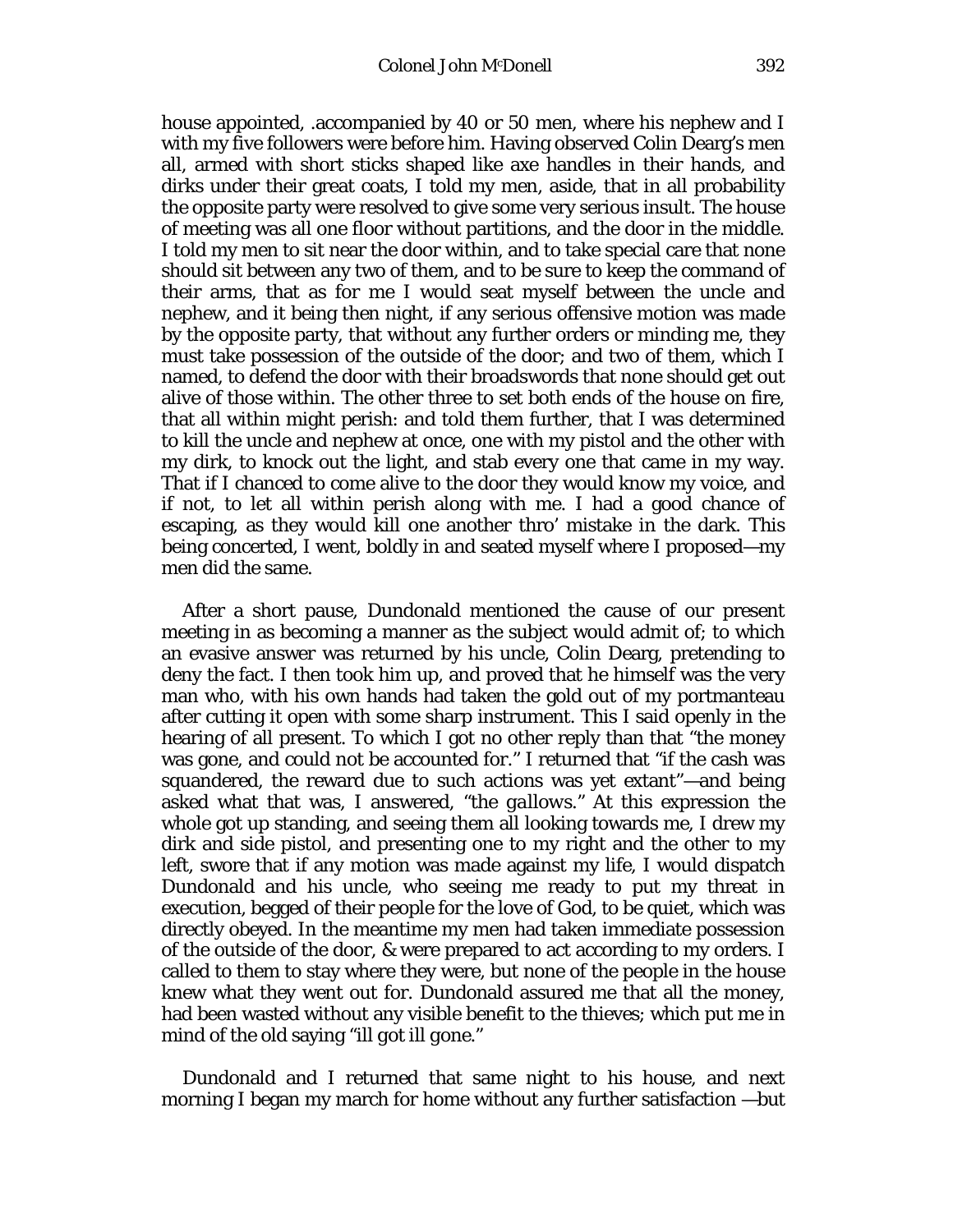house appointed, .accompanied by 40 or 50 men, where his nephew and I with my five followers were before him. Having observed Colin Dearg's men all, armed with short sticks shaped like axe handles in their hands, and dirks under their great coats, I told my men, aside, that in all probability the opposite party were resolved to give some very serious insult. The house of meeting was all one floor without partitions, and the door in the middle. I told my men to sit near the door within, and to take special care that none should sit between any two of them, and to be sure to keep the command of their arms, that as for me I would seat myself between the uncle and nephew, and it being then night, if any serious offensive motion was made by the opposite party, that without any further orders or minding me, they must take possession of the outside of the door; and two of them, which I named, to defend the door with their broadswords that none should get out alive of those within. The other three to set both ends of the house on fire, that all within might perish: and told them further, that I was determined to kill the uncle and nephew at once, one with my pistol and the other with my dirk, to knock out the light, and stab every one that came in my way. That if I chanced to come alive to the door they would know my voice, and if not, to let all within perish along with me. I had a good chance of escaping, as they would kill one another thro' mistake in the dark. This being concerted, I went, boldly in and seated myself where I proposed—my men did the same.

After a short pause, Dundonald mentioned the cause of our present meeting in as becoming a manner as the subject would admit of; to which an evasive answer was returned by his uncle, Colin Dearg, pretending to deny the fact. I then took him up, and proved that he himself was the very man who, with his own hands had taken the gold out of my portmanteau after cutting it open with some sharp instrument. This I said openly in the hearing of all present. To which I got no other reply than that "the money was gone, and could not be accounted for." I returned that "if the cash was squandered, the reward due to such actions was yet extant"—and being asked what that was, I answered, "the *gallows."* At this expression the whole got up standing, and seeing them all looking towards me, I drew my dirk and side pistol, and presenting one to my right and the other to my left, swore that if any motion was made against my life, I would dispatch Dundonald and his uncle, who seeing me ready to put my threat in execution, begged of their people for the love of God, to be quiet, which was directly obeyed. In the meantime my men had taken immediate possession of the outside of the door, *&* were prepared to act according to my orders. I called to them to stay where they were, but none of the people in the house knew what they went out for. Dundonald assured me that all the money, had been wasted without any visible benefit to the thieves; which put me in mind of the old saying "*ill got ill gone."*

Dundonald and I returned that same night to his house, and next morning I began my march for home without any further satisfaction —but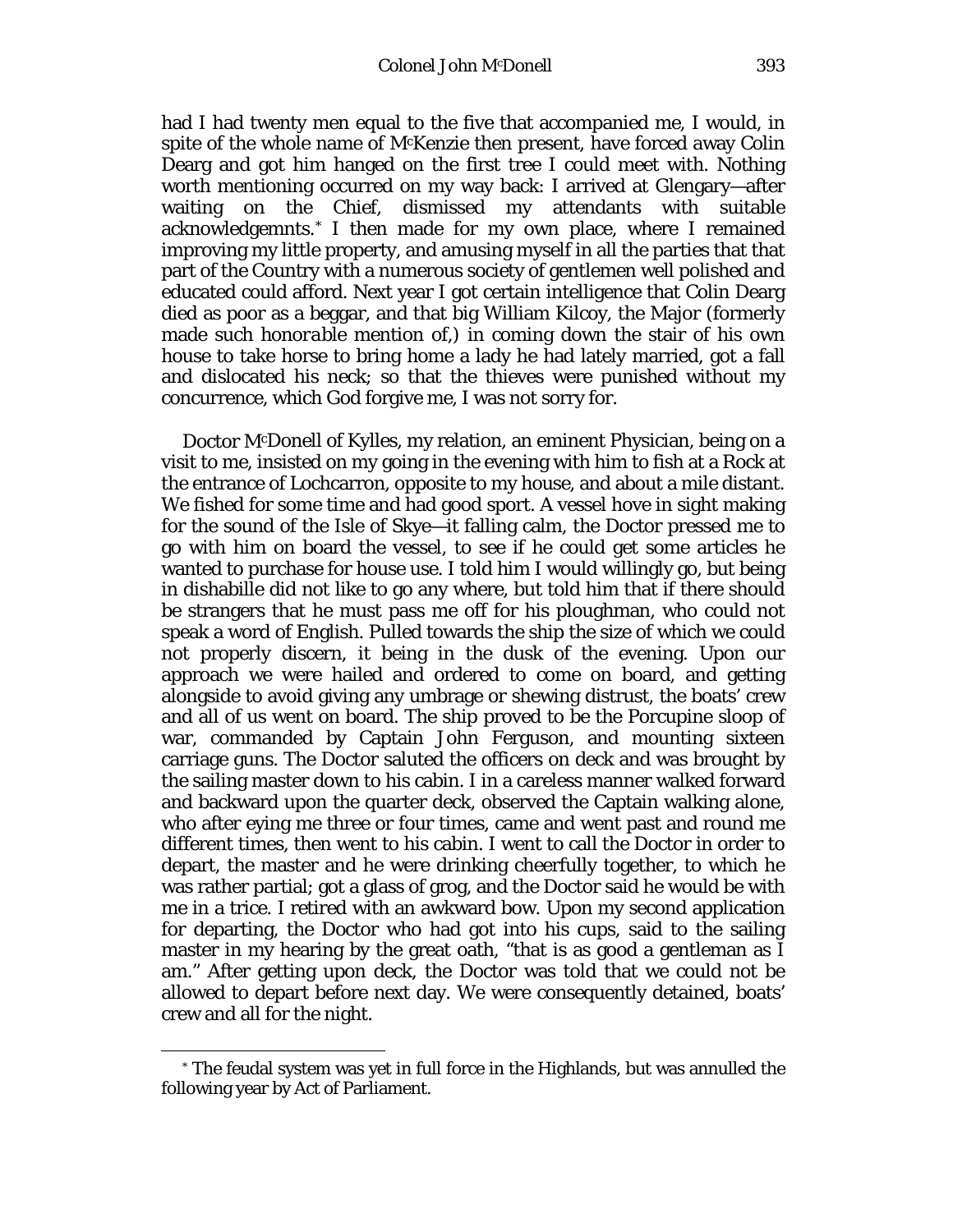had I had twenty men equal to the five that accompanied me, I would, in spite of the whole name of McKenzie then present, have forced away Colin Dearg and got him hanged on the first tree I could meet with. Nothing worth mentioning occurred on my way back: I arrived at Glengary—after waiting on the Chief, dismissed my attendants with suitable acknowledgemnts.[\\*](#page-27-0) I then made for my own place, where I remained improving my little property, and amusing myself in all the parties that that part of the Country with a numerous society of gentlemen well polished and educated could afford. Next year I got certain intelligence that Colin Dearg died as poor as a beggar, and that big William Kilcoy, the Major (formerly made such *honorable* mention of,) in coming down the stair of his own house to take horse to bring home a lady he had lately married, got a fall and dislocated his neck; so that the thieves were punished without my concurrence, which God forgive me, I was not sorry for.

Doctor McDonell of Kylles, my relation, an eminent Physician, being on a visit to me, insisted on my going in the evening with him to fish at a Rock at the entrance of Lochcarron, opposite to my house, and about a mile distant. We fished for some time and had good sport. A vessel hove in sight making for the sound of the Isle of Skye—it falling calm, the Doctor pressed me to go with him on board the vessel, to see if he could get some articles he wanted to purchase for house use. I told him I would willingly go, but being in dishabille did not like to go any where, but told him that if there should be strangers that he must pass me off for his ploughman, who could not speak a word of English. Pulled towards the ship the size of which we could not properly discern, it being in the dusk of the evening. Upon our approach we were hailed and ordered to come on board, and getting alongside to avoid giving any umbrage or shewing distrust, the boats' crew and all of us went on board. The ship proved to be the Porcupine sloop of war, commanded by Captain John Ferguson, and mounting sixteen carriage guns. The Doctor saluted the officers on deck and was brought by the sailing master down to his cabin. I in a careless manner walked forward and backward upon the quarter deck, observed the Captain walking alone, who after eying me three or four times, came and went past and round me different times, then went to his cabin. I went to call the Doctor in order to depart, the master and he were drinking cheerfully together, to which he was rather partial; got a glass of grog, and the Doctor said he would be with me in a trice. I retired with an awkward bow. Upon my second application for departing, the Doctor who had got into his cups, said to the sailing master in my hearing by the great oath, "that is as good a gentleman as I am." After getting upon deck, the Doctor was told that we could not be allowed to depart before next day. We were consequently detained, boats' crew and all for the night.

 $\overline{\phantom{a}}$ 

<span id="page-27-0"></span><sup>\*</sup> The feudal system was yet in full force in the Highlands, but was annulled the following year by Act of Parliament.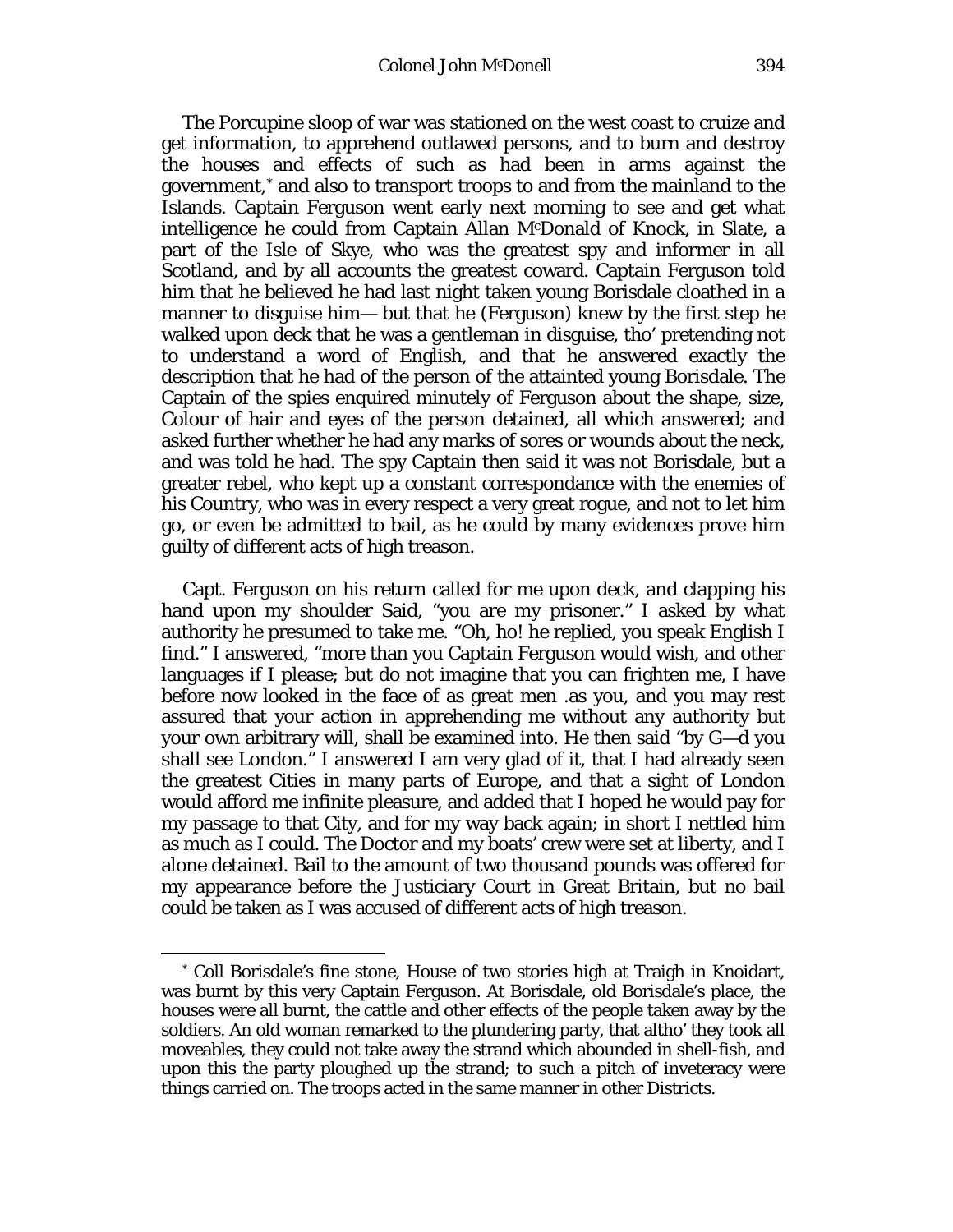The Porcupine sloop of war was stationed on the west coast to cruize and get information, to apprehend outlawed persons, and to burn and destroy the houses and effects of such as had been in arms against the government,[\\*](#page-28-0) and also to transport troops to and from the mainland to the Islands. Captain Ferguson went early next morning to see and get what intelligence he could from Captain Allan McDonald of Knock, in Slate, a part of the Isle of Skye, who was the greatest spy and informer in all Scotland, and by all accounts the greatest coward. Captain Ferguson told him that he believed he had last night taken young Borisdale cloathed in a manner to disguise him— but that he (Ferguson) knew by the first step he walked upon deck that he was a gentleman in disguise, tho' pretending not to understand a word of English, and that he answered exactly the description that he had of the person of the attainted young Borisdale. The Captain of the spies enquired minutely of Ferguson about the shape, size, Colour of hair and eyes of the person detained, all which answered; and asked further whether he had any marks of sores or wounds about the neck, and was told he had. The spy Captain then said it was not Borisdale, but a greater rebel, who kept up a constant correspondance with the enemies of his Country, who was in every respect a very great rogue, and not to let him go, or even be admitted to bail, as he could by many evidences prove him guilty of different acts of high treason.

Capt. Ferguson on his return called for me upon deck, and clapping his hand upon my shoulder Said, "you are my prisoner." I asked by what authority he presumed to take me. "Oh, ho! he replied, you speak English I find." I answered, "more than you Captain Ferguson would wish, and other languages if I please; but do not imagine that you can frighten me, I have before now looked in the face of as great men .as you, and you may rest assured that your action in apprehending me without any authority but your own arbitrary will, shall be examined into. He then said "by G—d you shall see London." I answered I am very glad of it, that I had already seen the greatest Cities in many parts of Europe, and that a sight of London would afford me infinite pleasure, and added that I hoped he would pay for my passage to that City, and for my way back again; in short I nettled him as much as I could. The Doctor and my boats' crew were set at liberty, and I alone detained. Bail to the amount of two thousand pounds was offered for my appearance before the Justiciary Court in Great Britain, but no bail could be taken as I was accused of different acts of high treason.

<span id="page-28-0"></span><sup>\*</sup> Coll Borisdale's fine stone, House of two stories high at Traigh in Knoidart, was burnt by this very Captain Ferguson. At Borisdale, old Borisdale's place, the houses were all burnt, the cattle and other effects of the people taken away by the soldiers. An old woman remarked to the plundering party, that altho' they took all moveables, they could not take away the strand which abounded in shell-fish, and upon this the party ploughed up the strand; to such a pitch of inveteracy were things carried on. The troops acted in the same manner in other Districts.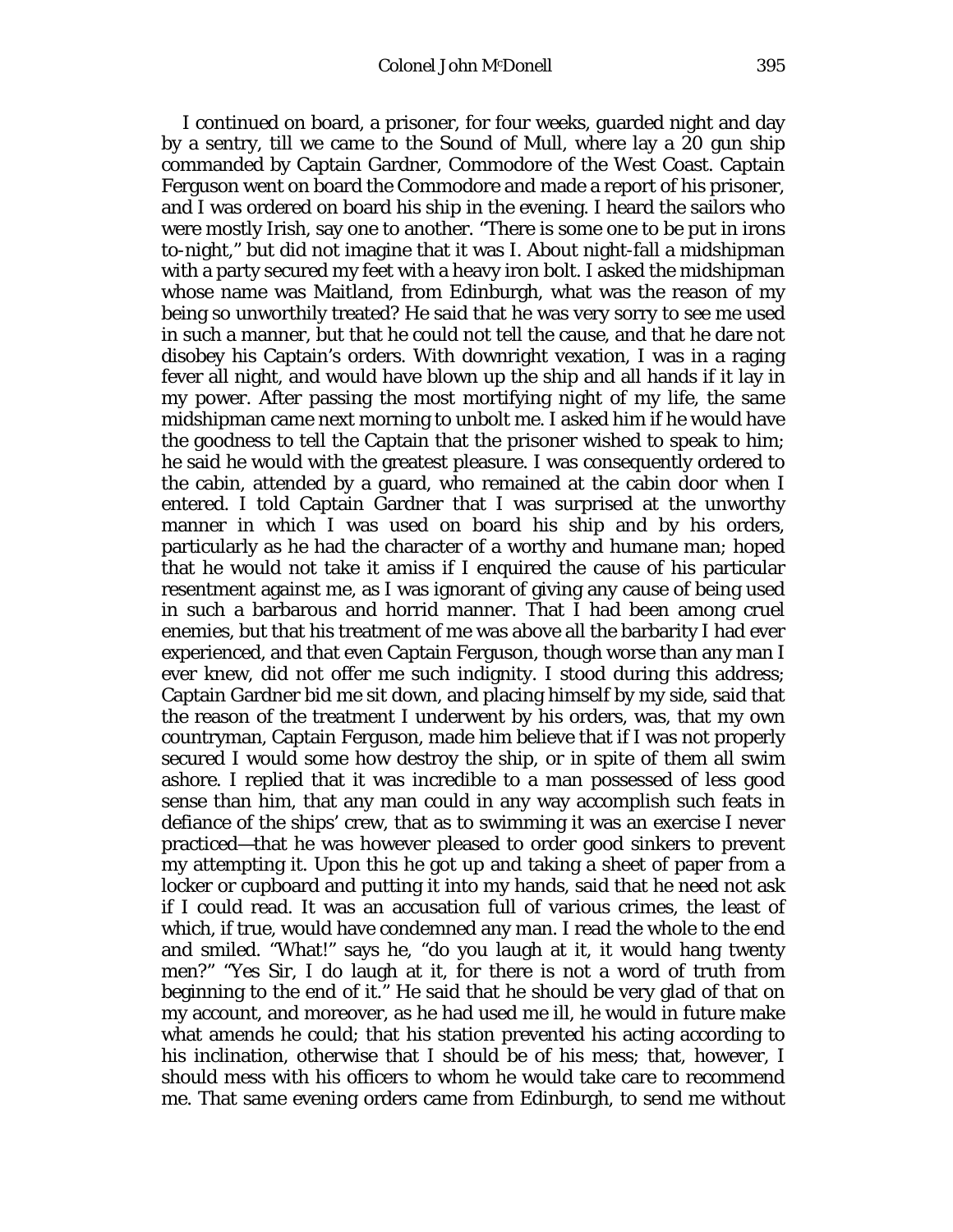I continued on board, a prisoner, for four weeks, guarded night and day by a sentry, till we came to the Sound of Mull, where lay a 20 gun ship commanded by Captain Gardner, Commodore of the West Coast. Captain Ferguson went on board the Commodore and made a report of his prisoner, and I was ordered on board his ship in the evening. I heard the sailors who were mostly Irish, say one to another. "There is some one to be put in irons to-night," but did not imagine that it was I. About night-fall a midshipman with a party secured my feet with a heavy iron bolt. I asked the midshipman whose name was Maitland, from Edinburgh, what was the reason of my being so unworthily treated? He said that he was very sorry to see me used in such a manner, but that he could not tell the cause, and that he dare not disobey his Captain's orders. With downright vexation, I was in a raging fever all night, and would have blown up the ship and all hands if it lay in my power. After passing the most mortifying night of my life, the same midshipman came next morning to unbolt me. I asked him if he would have the goodness to tell the Captain that the prisoner wished to speak to him; he said he would with the greatest pleasure. I was consequently ordered to the cabin, attended by a guard, who remained at the cabin door when I entered. I told Captain Gardner that I was surprised at the unworthy manner in which I was used on board his ship and by his orders, particularly as he had the character of a worthy and humane man; hoped that he would not take it amiss if I enquired the cause of his particular resentment against me, as I was ignorant of giving any cause of being used in such a barbarous and horrid manner. That I had been among cruel enemies, but that his treatment of me was above all the barbarity I had ever experienced, and that even Captain Ferguson, though worse than any man I ever knew, did not offer me such indignity. I stood during this address; Captain Gardner bid me sit down, and placing himself by my side, said that the reason of the treatment I underwent by his orders, was, that my own countryman, Captain Ferguson, made him believe that if I was not properly secured I would some how destroy the ship, or in spite of them all swim ashore. I replied that it was incredible to a man possessed of less good sense than him, that any man could in any way accomplish such feats in defiance of the ships' crew, that as to swimming it was an exercise I never practiced—that he was however pleased to order good sinkers to prevent my attempting it. Upon this he got up and taking a sheet of paper from a locker or cupboard and putting it into my hands, said that he need not ask if I could read. It was an accusation full of various crimes, the least of which, if true, would have condemned any man. I read the whole to the end and smiled. "What!" says he, "do you laugh at it, it would hang twenty men?" "Yes Sir, I do laugh at it, for there is not a word of truth from beginning to the end of it." He said that he should be very glad of that on my account, and moreover, as he had used me ill, he would in future make what amends he could; that his station prevented his acting according to his inclination, otherwise that I should be of his mess; that, however, I should mess with his officers to whom he would take care to recommend me. That same evening orders came from Edinburgh, to send me without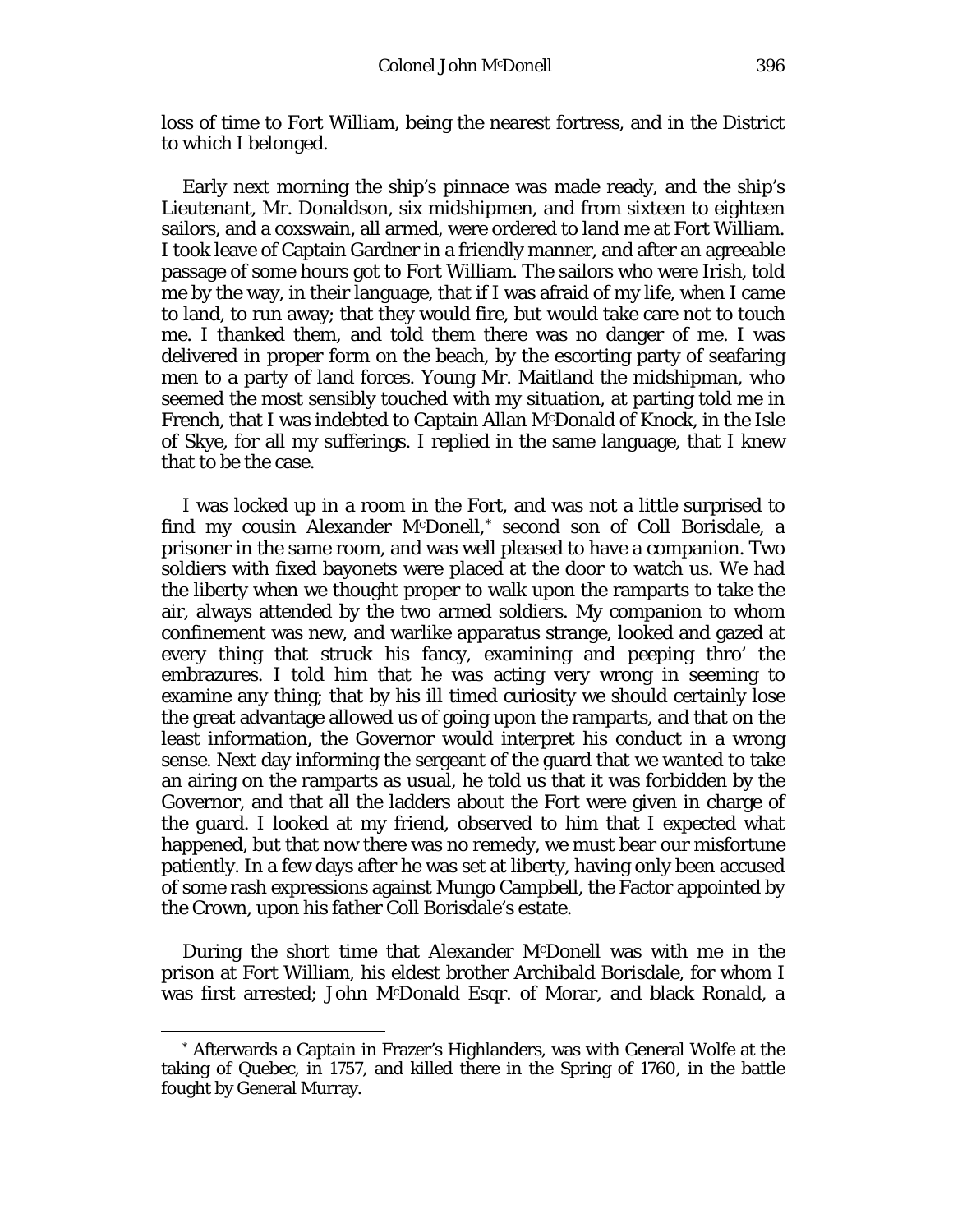loss of time to Fort William, being the nearest fortress, and in the District to which I belonged.

Early next morning the ship's pinnace was made ready, and the ship's Lieutenant, Mr. Donaldson, six midshipmen, and from sixteen to eighteen sailors, and a coxswain, all armed, were ordered to land me at Fort William. I took leave of Captain Gardner in a friendly manner, and after an agreeable passage of some hours got to Fort William. The sailors who were Irish, told me by the way, in their language, that if I was afraid of my life, when I came to land, to run away; that they would fire, but would take care not to touch me. I thanked them, and told them there was no danger of me. I was delivered in proper form on the beach, by the escorting party of seafaring men to a party of land forces. Young Mr. Maitland the midshipman, who seemed the most sensibly touched with my situation, at parting told me in French, that I was indebted to Captain Allan McDonald of Knock, in the Isle of Skye, for all my sufferings. I replied in the same language, that I knew that to be the case.

I was locked up in a room in the Fort, and was not a little surprised to find my cousin Alexander McDonell,[\\*](#page-30-0) second son of Coll Borisdale, a prisoner in the same room, and was well pleased to have a companion. Two soldiers with fixed bayonets were placed at the door to watch us. We had the liberty when we thought proper to walk upon the ramparts to take the air, always attended by the two armed soldiers. My companion to whom confinement was new, and warlike apparatus strange, looked and gazed at every thing that struck his fancy, examining and peeping thro' the embrazures. I told him that he was acting very wrong in seeming to examine any thing; that by his ill timed curiosity we should certainly lose the great advantage allowed us of going upon the ramparts, and that on the least information, the Governor would interpret his conduct in a wrong sense. Next day informing the sergeant of the guard that we wanted to take an airing on the ramparts as usual, he told us that it was forbidden by the Governor, and that all the ladders about the Fort were given in charge of the guard. I looked at my friend, observed to him that I expected what happened, but that now there was no remedy, we must bear our misfortune patiently. In a few days after he was set at liberty, having only been accused of some rash expressions against Mungo Campbell, the Factor appointed by the Crown, upon his father Coll Borisdale's estate.

During the short time that Alexander McDonell was with me in the prison at Fort William, his eldest brother Archibald Borisdale, for whom I was first arrested; John McDonald Esqr. of Morar, and black Ronald, a

l

<span id="page-30-0"></span><sup>\*</sup> Afterwards a Captain in Frazer's Highlanders, was with General Wolfe at the taking of Quebec, in 1757, and killed there in the Spring of 1760, in the battle fought by General Murray.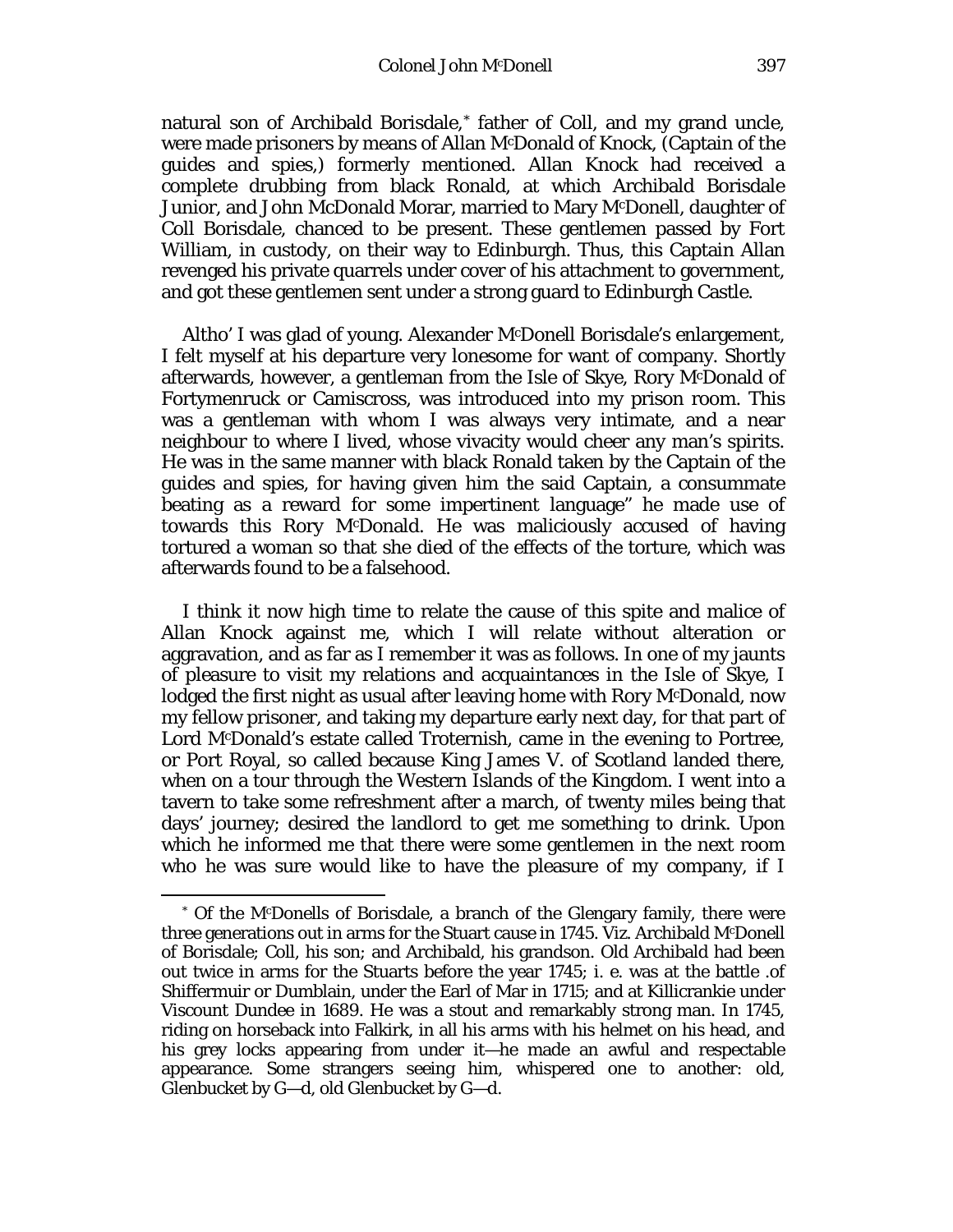natural son of Archibald Borisdale,[\\*](#page-31-0) father of Coll, and my grand uncle, were made prisoners by means of Allan McDonald of Knock, (Captain of the guides and spies,) formerly mentioned. Allan Knock had received a complete drubbing from black Ronald, at which Archibald Borisdale Junior, and John McDonald Morar, married to Mary McDonell, daughter of Coll Borisdale, chanced to be present. These gentlemen passed by Fort William, in custody, on their way to Edinburgh. Thus, this Captain Allan revenged his private quarrels under cover of his attachment to government, and got these gentlemen sent under a strong guard to Edinburgh Castle.

Altho' I was glad of young. Alexander McDonell Borisdale's enlargement, I felt myself at his departure very lonesome for want of company. Shortly afterwards, however, a gentleman from the Isle of Skye, Rory McDonald of Fortymenruck or Camiscross, was introduced into my prison room. This was a gentleman with whom I was always very intimate, and a near neighbour to where I lived, whose vivacity would cheer any man's spirits. He was in the same manner with black Ronald taken by the Captain of the guides and spies, for having given him the said Captain, a consummate beating as a reward for some impertinent language" he made use of towards this Rory McDonald. He was maliciously accused of having tortured a woman so that she died of the effects of the torture, which was afterwards found to be a falsehood.

I think it now high time to relate the cause of this spite and malice of Allan Knock against me, which I will relate without alteration or aggravation, and as far as I remember it was as follows. In one of my jaunts of pleasure to visit my relations and acquaintances in the Isle of Skye, I lodged the first night as usual after leaving home with Rory McDonald, now my fellow prisoner, and taking my departure early next day, for that part of Lord M<sup>c</sup>Donald's estate called Troternish, came in the evening to Portree, or Port Royal, so called because King James V. of Scotland landed there, when on a tour through the Western Islands of the Kingdom. I went into a tavern to take some refreshment after a march, of twenty miles being that days' journey; desired the landlord to get me something to drink. Upon which he informed me that there were some gentlemen in the next room who he was sure would like to have the pleasure of my company, if I

<span id="page-31-0"></span><sup>\*</sup> Of the McDonells of Borisdale, a branch of the Glengary family, there were three generations out in arms for the Stuart cause in 1745. Viz. Archibald McDonell of Borisdale; Coll, his son; and Archibald, his grandson. Old Archibald had been out twice in arms for the Stuarts before the year 1745; i. e. was at the battle .of Shiffermuir or Dumblain, under the Earl of Mar in 1715; and at Killicrankie under Viscount Dundee in 1689. He was a stout and remarkably strong man. In 1745, riding on horseback into Falkirk, in all his arms with his helmet on his head, and his grey locks appearing from under it—he made an awful and respectable appearance. Some strangers seeing him, whispered one to another: old, Glenbucket by G—d, old Glenbucket by G—d.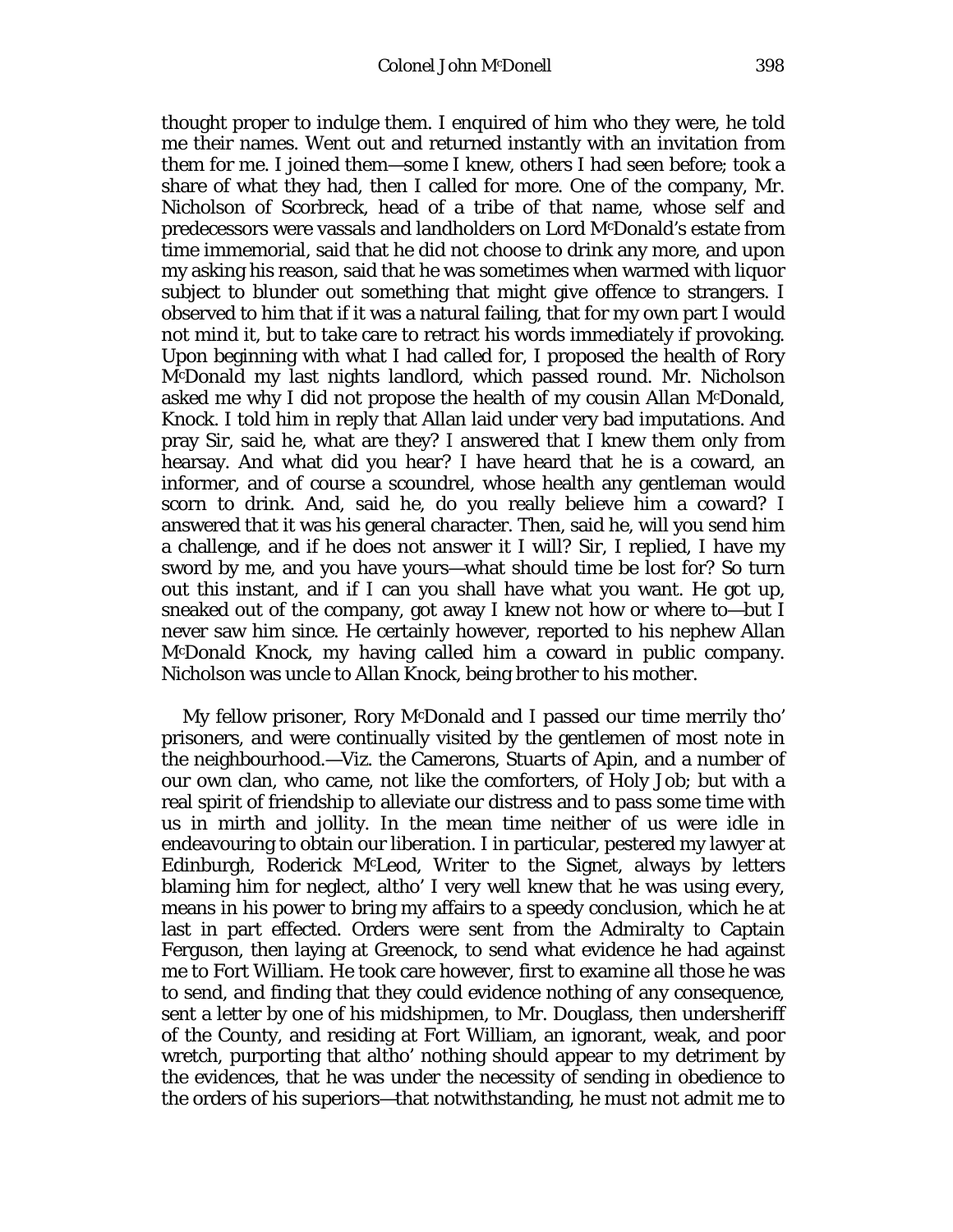thought proper to indulge them. I enquired of him who they were, he told me their names. Went out and returned instantly with an invitation from them for me. I joined them—some I knew, others I had seen before; took a share of what they had, then I called for more. One of the company, Mr. Nicholson of Scorbreck, head of a tribe of that name, whose self and predecessors were vassals and landholders on Lord McDonald's estate from time immemorial, said that he did not choose to drink any more, and upon my asking his reason, said that he was sometimes when warmed with liquor subject to blunder out something that might give offence to strangers. I observed to him that if it was a natural failing, that for my own part I would not mind it, but to take care to retract his words immediately if provoking. Upon beginning with what I had called for, I proposed the health of Rory McDonald my last nights landlord, which passed round. Mr. Nicholson asked me why I did not propose the health of my cousin Allan McDonald, Knock. I told him in reply that Allan laid under very bad imputations. And pray Sir, said he, what are they? I answered that I knew them only from hearsay. And what did you hear? I have heard that he is a coward, an informer, and of course a scoundrel, whose health any gentleman would scorn to drink. And, said he, do you really believe him a coward? I answered that it was his general character. Then, said he, will you send him a challenge, and if he does not answer it I will? Sir, I replied, I have my sword by me, and you have yours—what should time be lost for? So turn out this instant, and if I can you shall have what you want. He got up, sneaked out of the company, got away I knew not how or where to—but I never saw him since. He certainly however, reported to his nephew Allan McDonald Knock, my having called him a coward in public company. Nicholson was uncle to Allan Knock, being brother to his mother.

My fellow prisoner, Rory McDonald and I passed our time merrily tho' prisoners, and were continually visited by the gentlemen of most note in the neighbourhood.—Viz. the Camerons, Stuarts of Apin, and a number of our own clan, who came, not like the comforters, of Holy Job; but with a real spirit of friendship to alleviate our distress and to pass some time with us in mirth and jollity. In the mean time neither of us were idle in endeavouring to obtain our liberation. I in particular, pestered my lawyer at Edinburgh, Roderick McLeod, Writer to the Signet, always by letters blaming him for neglect, altho' I very well knew that he was using every, means in his power to bring my affairs to a speedy conclusion, which he at last in part effected. Orders were sent from the Admiralty to Captain Ferguson, then laying at Greenock, to send what evidence he had against me to Fort William. He took care however, first to examine all those he was to send, and finding that they could evidence nothing of any consequence, sent a letter by one of his midshipmen, to Mr. Douglass, then undersheriff of the County, and residing at Fort William, an ignorant, weak, and poor wretch, purporting that altho' nothing should appear to my detriment by the evidences, that he was under the necessity of sending in obedience to the orders of his superiors—that notwithstanding, he must not admit me to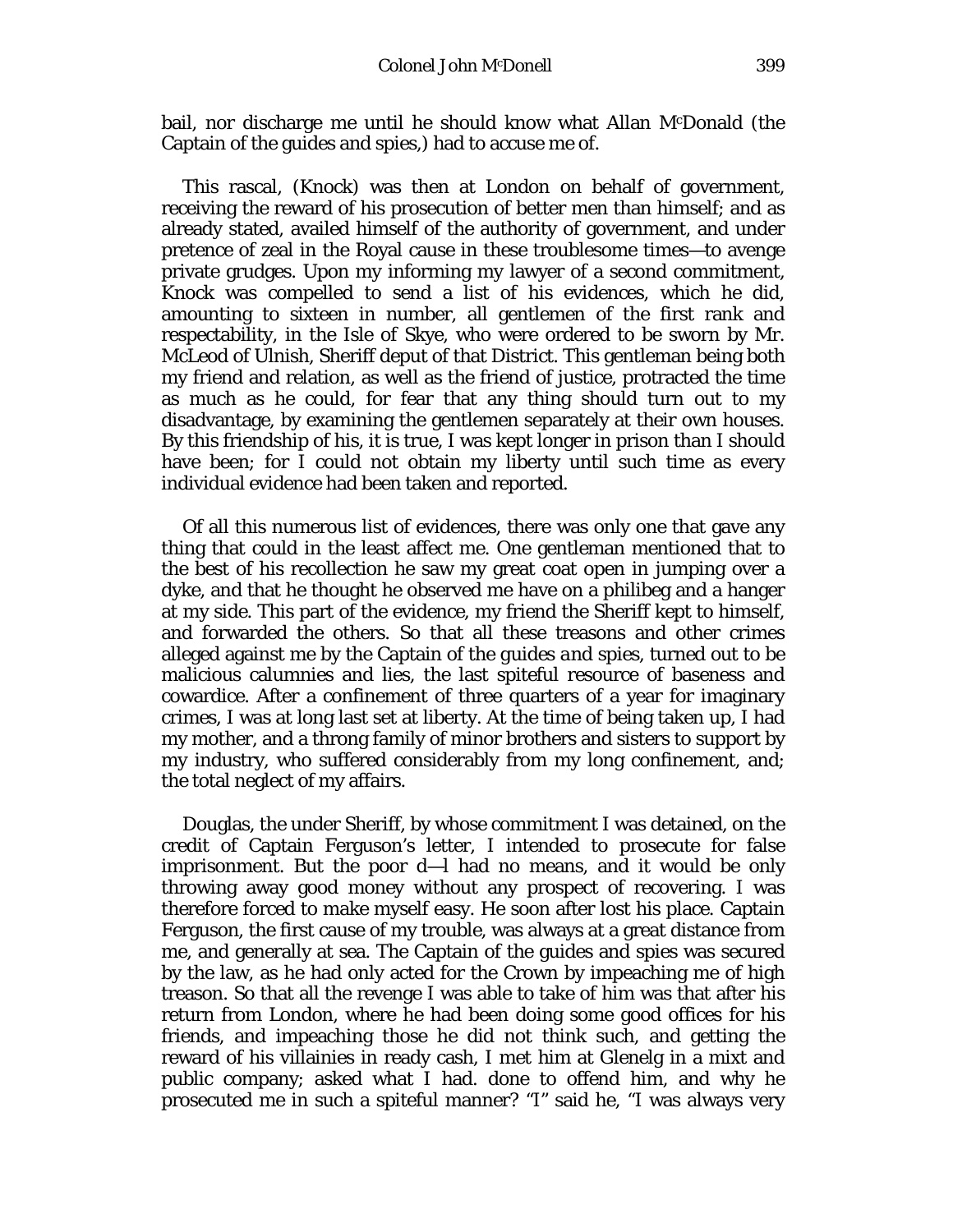bail, nor discharge me until he should know what Allan McDonald (the Captain of the guides and spies,) had to accuse me of.

This rascal, (Knock) was then at London on behalf of government, receiving the reward of his prosecution of better men than himself; and as already stated, availed himself of the authority of government, and under pretence of zeal in the Royal cause in these troublesome times—to avenge private grudges. Upon my informing my lawyer of a second commitment, Knock was compelled to send a list of his evidences, which he did, amounting to sixteen in number, all gentlemen of the first rank and respectability, in the Isle of Skye, who were ordered to be sworn by Mr. McLeod of Ulnish, Sheriff deput of that District. This gentleman being both my friend and relation, as well as the friend of justice, protracted the time as much as he could, for fear that any thing should turn out to my disadvantage, by examining the gentlemen separately at their own houses. By this friendship of his, it is true, I was kept longer in prison than I should have been; for I could not obtain my liberty until such time as every individual evidence had been taken and reported.

Of all this numerous list of evidences, there was only one that gave any thing that could in the least affect me. One gentleman mentioned that to the best of his recollection he saw my great coat open in jumping over a dyke, and that he thought he observed me have on a philibeg and a hanger at my side. This part of the evidence, my friend the Sheriff kept to himself, and forwarded the others. So that all these treasons and other crimes alleged against me by the Captain of the *guides and spies,* turned out to be malicious calumnies and lies, the last spiteful resource of baseness and cowardice. After a confinement of three quarters of a year for imaginary crimes, I was at long last set at liberty. At the time of being taken up, I had my mother, and a throng family of minor brothers and sisters to support by my industry, who suffered considerably from my long confinement, and; the total neglect of my affairs.

Douglas, the under Sheriff, by whose commitment I was detained, on the credit of Captain Ferguson's letter, I intended to prosecute for false imprisonment. But the poor d—l had no means, and it would be only throwing away good money without any prospect of recovering. I was therefore forced to make myself easy. He soon after lost his place. Captain Ferguson, the first cause of my trouble, was always at a great distance from me, and generally at sea. The Captain of the guides and spies was secured by the law, as he had only acted for the Crown by impeaching me of high treason. So that all the revenge I was able to take of him was that after his return from London, where he had been doing some good offices for his friends, and impeaching those he did not think such, and getting the reward of his villainies in ready cash, I met him at Glenelg in a mixt and public company; asked what I had. done to offend him, and why he prosecuted me in such a spiteful manner? "I" said he, "I was always very